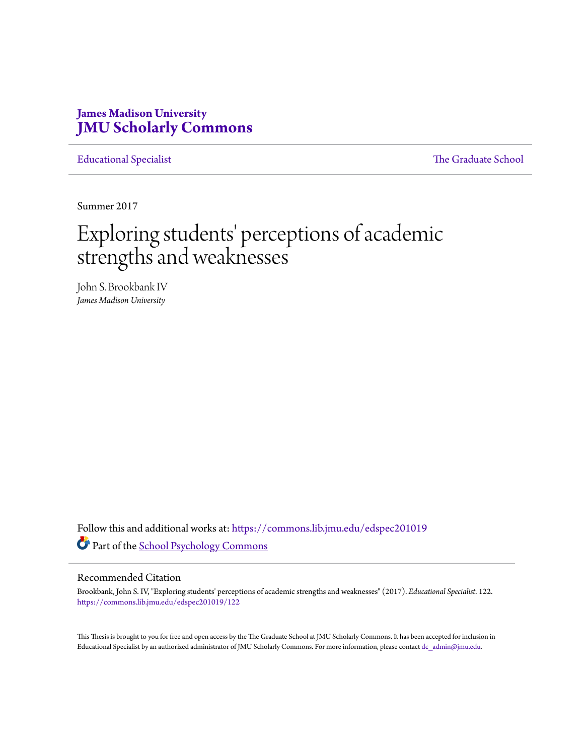# **James Madison University [JMU Scholarly Commons](https://commons.lib.jmu.edu/?utm_source=commons.lib.jmu.edu%2Fedspec201019%2F122&utm_medium=PDF&utm_campaign=PDFCoverPages)**

[Educational Specialist](https://commons.lib.jmu.edu/edspec201019?utm_source=commons.lib.jmu.edu%2Fedspec201019%2F122&utm_medium=PDF&utm_campaign=PDFCoverPages) [The Graduate School](https://commons.lib.jmu.edu/grad?utm_source=commons.lib.jmu.edu%2Fedspec201019%2F122&utm_medium=PDF&utm_campaign=PDFCoverPages)

Summer 2017

# Exploring students' perceptions of academic strengths and weaknesses

John S. Brookbank IV *James Madison University*

Follow this and additional works at: [https://commons.lib.jmu.edu/edspec201019](https://commons.lib.jmu.edu/edspec201019?utm_source=commons.lib.jmu.edu%2Fedspec201019%2F122&utm_medium=PDF&utm_campaign=PDFCoverPages) Part of the [School Psychology Commons](http://network.bepress.com/hgg/discipline/1072?utm_source=commons.lib.jmu.edu%2Fedspec201019%2F122&utm_medium=PDF&utm_campaign=PDFCoverPages)

## Recommended Citation

Brookbank, John S. IV, "Exploring students' perceptions of academic strengths and weaknesses" (2017). *Educational Specialist*. 122. [https://commons.lib.jmu.edu/edspec201019/122](https://commons.lib.jmu.edu/edspec201019/122?utm_source=commons.lib.jmu.edu%2Fedspec201019%2F122&utm_medium=PDF&utm_campaign=PDFCoverPages)

This Thesis is brought to you for free and open access by the The Graduate School at JMU Scholarly Commons. It has been accepted for inclusion in Educational Specialist by an authorized administrator of JMU Scholarly Commons. For more information, please contact [dc\\_admin@jmu.edu](mailto:dc_admin@jmu.edu).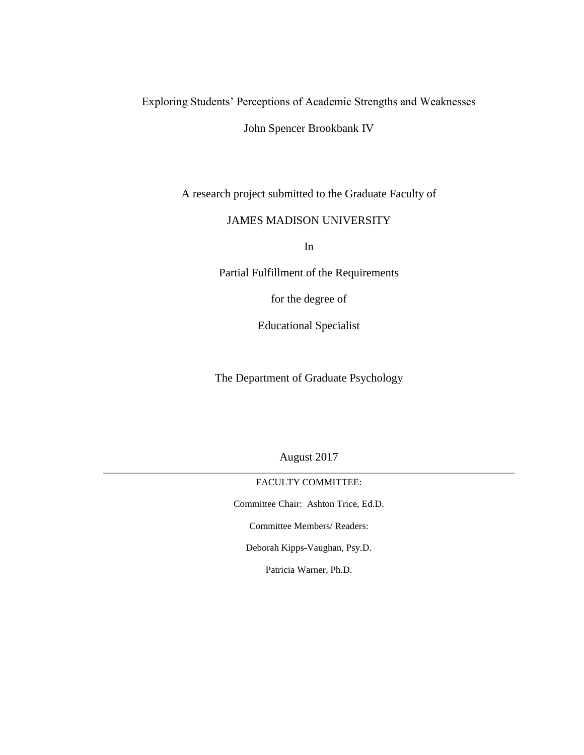# Exploring Students' Perceptions of Academic Strengths and Weaknesses

John Spencer Brookbank IV

A research project submitted to the Graduate Faculty of

# JAMES MADISON UNIVERSITY

In

Partial Fulfillment of the Requirements

for the degree of

Educational Specialist

The Department of Graduate Psychology

August 2017

# FACULTY COMMITTEE:

Committee Chair: Ashton Trice, Ed.D.

Committee Members/ Readers:

Deborah Kipps-Vaughan, Psy.D.

Patricia Warner, Ph.D.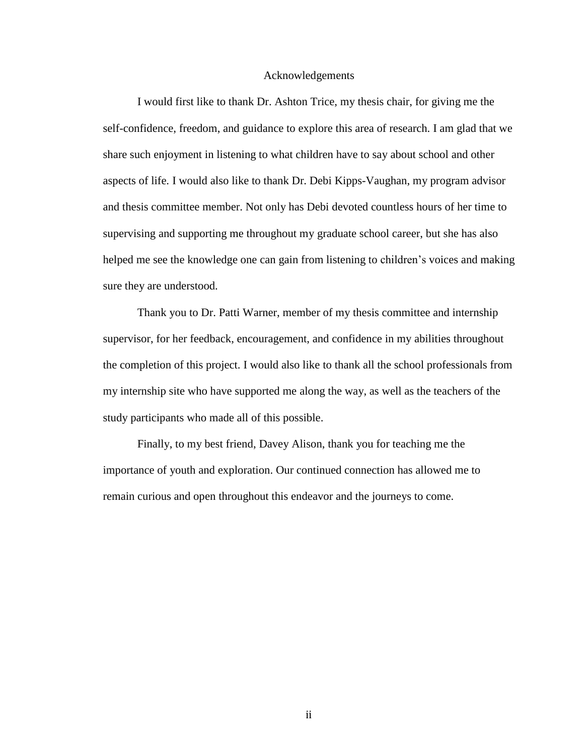#### Acknowledgements

I would first like to thank Dr. Ashton Trice, my thesis chair, for giving me the self-confidence, freedom, and guidance to explore this area of research. I am glad that we share such enjoyment in listening to what children have to say about school and other aspects of life. I would also like to thank Dr. Debi Kipps-Vaughan, my program advisor and thesis committee member. Not only has Debi devoted countless hours of her time to supervising and supporting me throughout my graduate school career, but she has also helped me see the knowledge one can gain from listening to children's voices and making sure they are understood.

Thank you to Dr. Patti Warner, member of my thesis committee and internship supervisor, for her feedback, encouragement, and confidence in my abilities throughout the completion of this project. I would also like to thank all the school professionals from my internship site who have supported me along the way, as well as the teachers of the study participants who made all of this possible.

Finally, to my best friend, Davey Alison, thank you for teaching me the importance of youth and exploration. Our continued connection has allowed me to remain curious and open throughout this endeavor and the journeys to come.

ii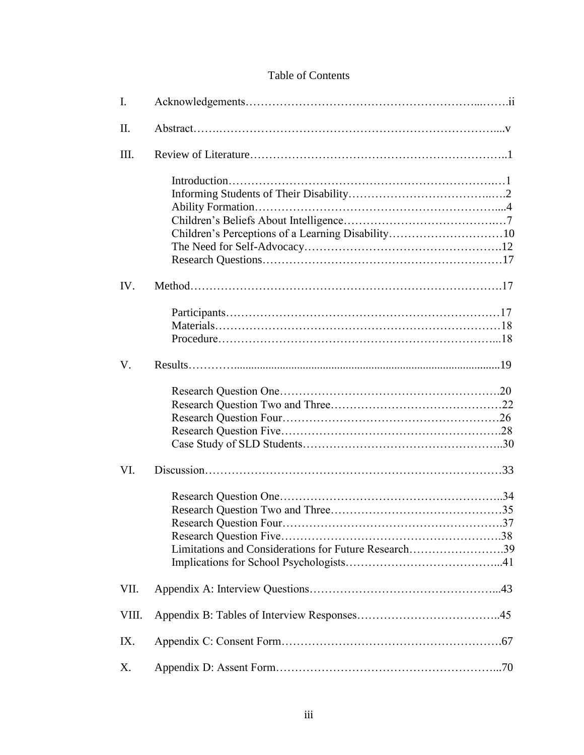# Table of Contents

| I.    |                                                      |  |
|-------|------------------------------------------------------|--|
| II.   |                                                      |  |
| III.  |                                                      |  |
|       |                                                      |  |
|       |                                                      |  |
|       |                                                      |  |
|       |                                                      |  |
|       | Children's Perceptions of a Learning Disability10    |  |
|       |                                                      |  |
|       |                                                      |  |
| IV.   |                                                      |  |
|       |                                                      |  |
|       |                                                      |  |
|       |                                                      |  |
| V.    |                                                      |  |
|       |                                                      |  |
|       |                                                      |  |
|       |                                                      |  |
|       |                                                      |  |
|       |                                                      |  |
| VI.   |                                                      |  |
|       |                                                      |  |
|       |                                                      |  |
|       |                                                      |  |
|       |                                                      |  |
|       | Limitations and Considerations for Future Research39 |  |
|       |                                                      |  |
| VII.  |                                                      |  |
| VIII. |                                                      |  |
| IX.   |                                                      |  |
| Χ.    |                                                      |  |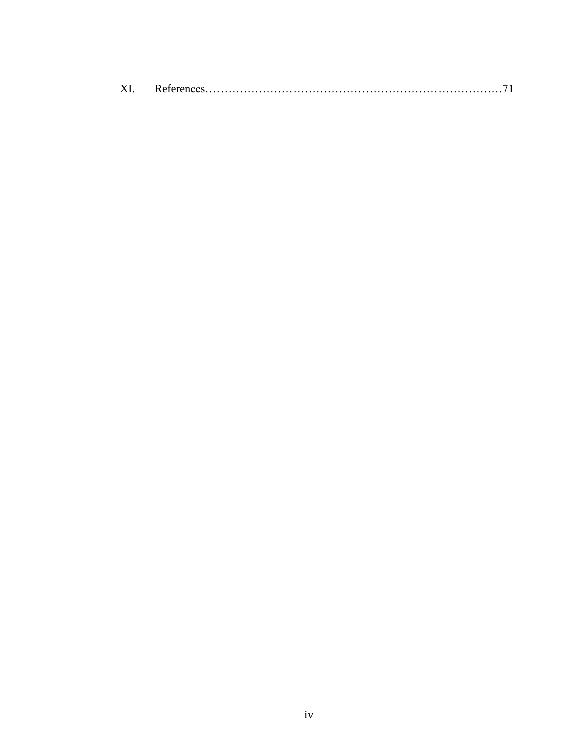| XI |  |  |  |
|----|--|--|--|
|----|--|--|--|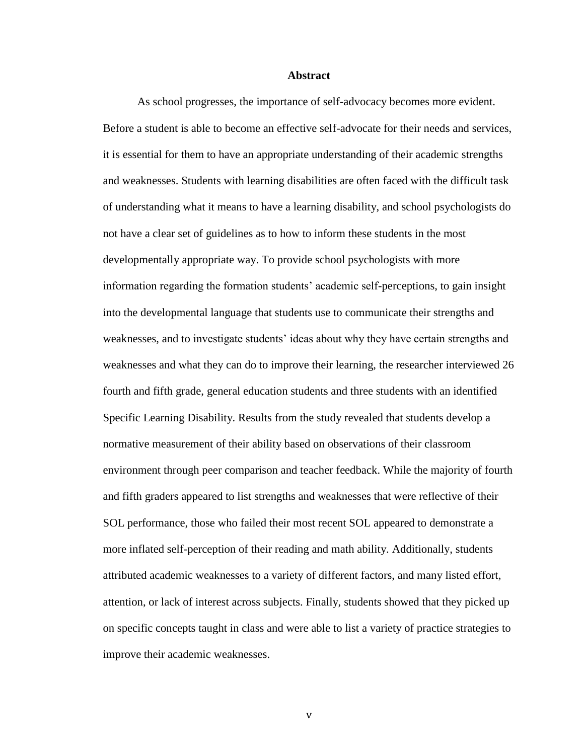#### **Abstract**

As school progresses, the importance of self-advocacy becomes more evident. Before a student is able to become an effective self-advocate for their needs and services, it is essential for them to have an appropriate understanding of their academic strengths and weaknesses. Students with learning disabilities are often faced with the difficult task of understanding what it means to have a learning disability, and school psychologists do not have a clear set of guidelines as to how to inform these students in the most developmentally appropriate way. To provide school psychologists with more information regarding the formation students' academic self-perceptions, to gain insight into the developmental language that students use to communicate their strengths and weaknesses, and to investigate students' ideas about why they have certain strengths and weaknesses and what they can do to improve their learning, the researcher interviewed 26 fourth and fifth grade, general education students and three students with an identified Specific Learning Disability. Results from the study revealed that students develop a normative measurement of their ability based on observations of their classroom environment through peer comparison and teacher feedback. While the majority of fourth and fifth graders appeared to list strengths and weaknesses that were reflective of their SOL performance, those who failed their most recent SOL appeared to demonstrate a more inflated self-perception of their reading and math ability. Additionally, students attributed academic weaknesses to a variety of different factors, and many listed effort, attention, or lack of interest across subjects. Finally, students showed that they picked up on specific concepts taught in class and were able to list a variety of practice strategies to improve their academic weaknesses.

v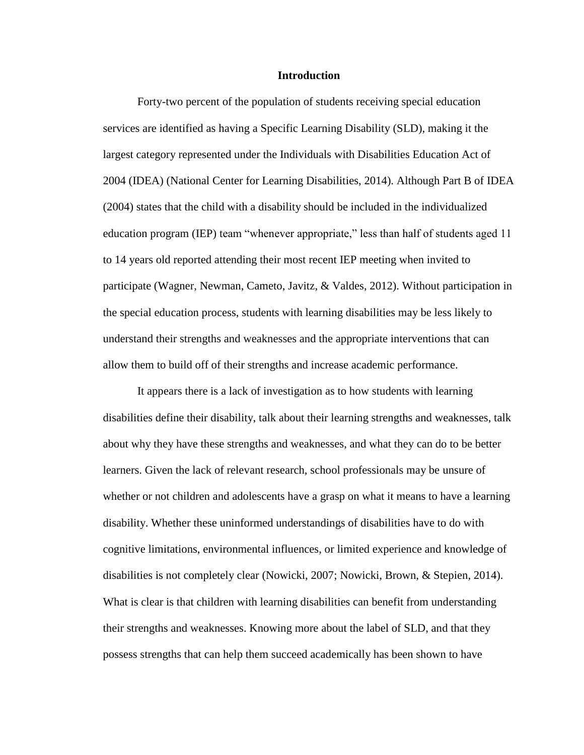## **Introduction**

Forty-two percent of the population of students receiving special education services are identified as having a Specific Learning Disability (SLD), making it the largest category represented under the Individuals with Disabilities Education Act of 2004 (IDEA) (National Center for Learning Disabilities, 2014). Although Part B of IDEA (2004) states that the child with a disability should be included in the individualized education program (IEP) team "whenever appropriate," less than half of students aged 11 to 14 years old reported attending their most recent IEP meeting when invited to participate (Wagner, Newman, Cameto, Javitz, & Valdes, 2012). Without participation in the special education process, students with learning disabilities may be less likely to understand their strengths and weaknesses and the appropriate interventions that can allow them to build off of their strengths and increase academic performance.

It appears there is a lack of investigation as to how students with learning disabilities define their disability, talk about their learning strengths and weaknesses, talk about why they have these strengths and weaknesses, and what they can do to be better learners. Given the lack of relevant research, school professionals may be unsure of whether or not children and adolescents have a grasp on what it means to have a learning disability. Whether these uninformed understandings of disabilities have to do with cognitive limitations, environmental influences, or limited experience and knowledge of disabilities is not completely clear (Nowicki, 2007; Nowicki, Brown, & Stepien, 2014). What is clear is that children with learning disabilities can benefit from understanding their strengths and weaknesses. Knowing more about the label of SLD, and that they possess strengths that can help them succeed academically has been shown to have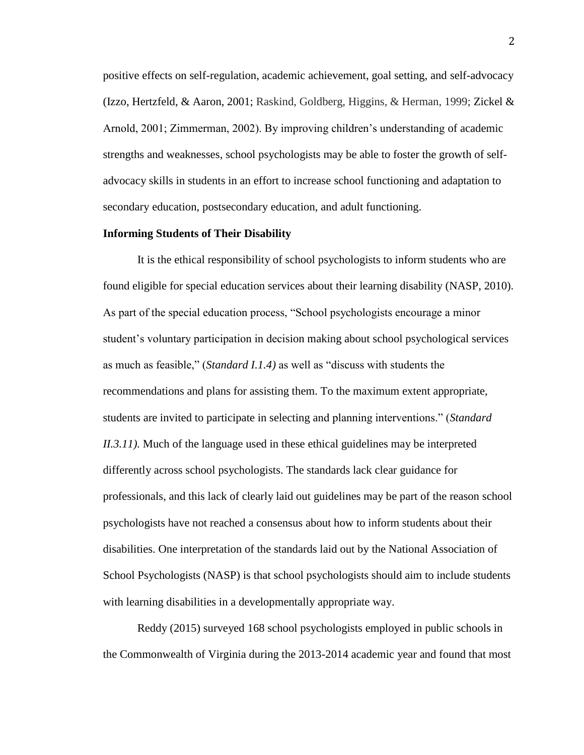positive effects on self-regulation, academic achievement, goal setting, and self-advocacy (Izzo, Hertzfeld, & Aaron, 2001; Raskind, Goldberg, Higgins, & Herman, 1999; Zickel & Arnold, 2001; Zimmerman, 2002). By improving children's understanding of academic strengths and weaknesses, school psychologists may be able to foster the growth of selfadvocacy skills in students in an effort to increase school functioning and adaptation to secondary education, postsecondary education, and adult functioning.

## **Informing Students of Their Disability**

It is the ethical responsibility of school psychologists to inform students who are found eligible for special education services about their learning disability (NASP, 2010). As part of the special education process, "School psychologists encourage a minor student's voluntary participation in decision making about school psychological services as much as feasible," (*Standard I.1.4)* as well as "discuss with students the recommendations and plans for assisting them. To the maximum extent appropriate, students are invited to participate in selecting and planning interventions." (*Standard II.3.11).* Much of the language used in these ethical guidelines may be interpreted differently across school psychologists. The standards lack clear guidance for professionals, and this lack of clearly laid out guidelines may be part of the reason school psychologists have not reached a consensus about how to inform students about their disabilities. One interpretation of the standards laid out by the National Association of School Psychologists (NASP) is that school psychologists should aim to include students with learning disabilities in a developmentally appropriate way.

Reddy (2015) surveyed 168 school psychologists employed in public schools in the Commonwealth of Virginia during the 2013-2014 academic year and found that most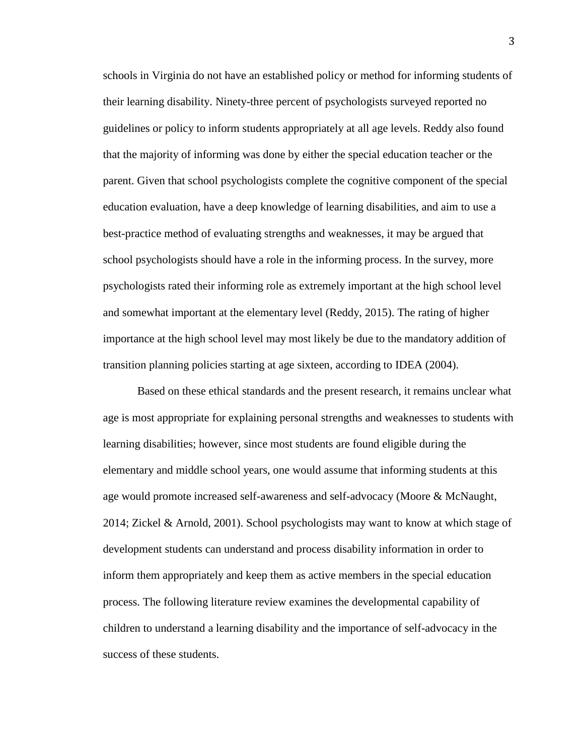schools in Virginia do not have an established policy or method for informing students of their learning disability. Ninety-three percent of psychologists surveyed reported no guidelines or policy to inform students appropriately at all age levels. Reddy also found that the majority of informing was done by either the special education teacher or the parent. Given that school psychologists complete the cognitive component of the special education evaluation, have a deep knowledge of learning disabilities, and aim to use a best-practice method of evaluating strengths and weaknesses, it may be argued that school psychologists should have a role in the informing process. In the survey, more psychologists rated their informing role as extremely important at the high school level and somewhat important at the elementary level (Reddy, 2015). The rating of higher importance at the high school level may most likely be due to the mandatory addition of transition planning policies starting at age sixteen, according to IDEA (2004).

Based on these ethical standards and the present research, it remains unclear what age is most appropriate for explaining personal strengths and weaknesses to students with learning disabilities; however, since most students are found eligible during the elementary and middle school years, one would assume that informing students at this age would promote increased self-awareness and self-advocacy (Moore & McNaught, 2014; Zickel & Arnold, 2001). School psychologists may want to know at which stage of development students can understand and process disability information in order to inform them appropriately and keep them as active members in the special education process. The following literature review examines the developmental capability of children to understand a learning disability and the importance of self-advocacy in the success of these students.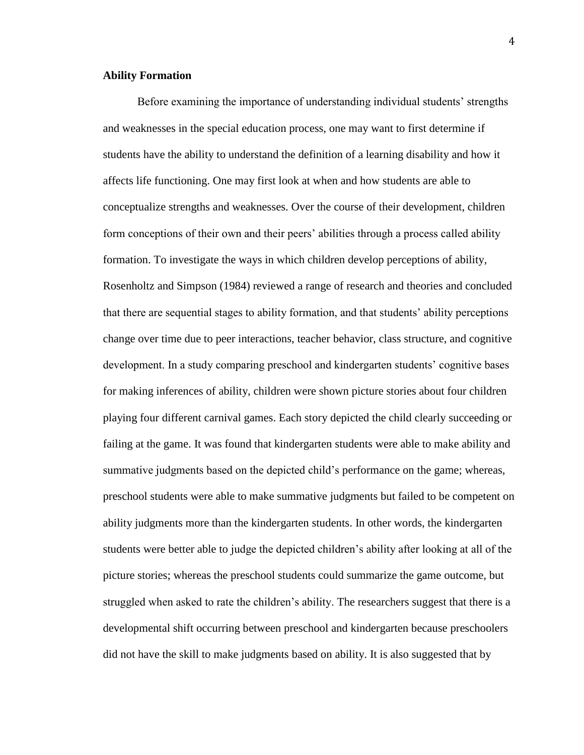#### **Ability Formation**

Before examining the importance of understanding individual students' strengths and weaknesses in the special education process, one may want to first determine if students have the ability to understand the definition of a learning disability and how it affects life functioning. One may first look at when and how students are able to conceptualize strengths and weaknesses. Over the course of their development, children form conceptions of their own and their peers' abilities through a process called ability formation. To investigate the ways in which children develop perceptions of ability, Rosenholtz and Simpson (1984) reviewed a range of research and theories and concluded that there are sequential stages to ability formation, and that students' ability perceptions change over time due to peer interactions, teacher behavior, class structure, and cognitive development. In a study comparing preschool and kindergarten students' cognitive bases for making inferences of ability, children were shown picture stories about four children playing four different carnival games. Each story depicted the child clearly succeeding or failing at the game. It was found that kindergarten students were able to make ability and summative judgments based on the depicted child's performance on the game; whereas, preschool students were able to make summative judgments but failed to be competent on ability judgments more than the kindergarten students. In other words, the kindergarten students were better able to judge the depicted children's ability after looking at all of the picture stories; whereas the preschool students could summarize the game outcome, but struggled when asked to rate the children's ability. The researchers suggest that there is a developmental shift occurring between preschool and kindergarten because preschoolers did not have the skill to make judgments based on ability. It is also suggested that by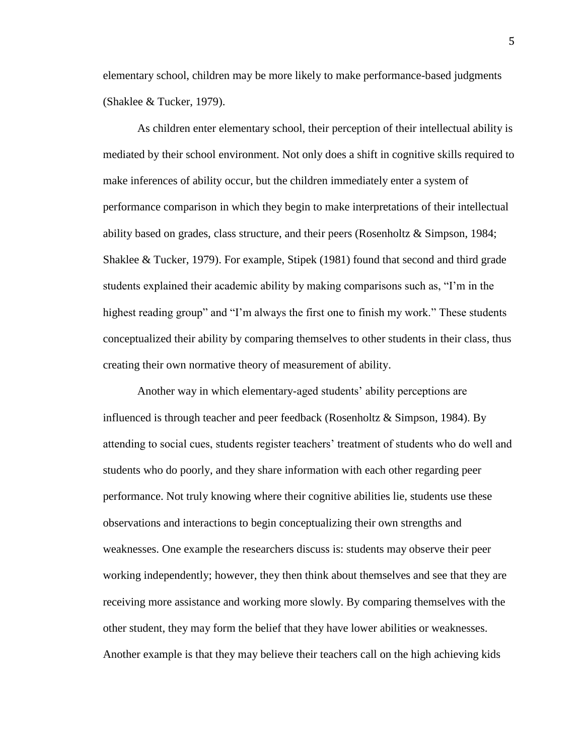elementary school, children may be more likely to make performance-based judgments (Shaklee & Tucker, 1979).

As children enter elementary school, their perception of their intellectual ability is mediated by their school environment. Not only does a shift in cognitive skills required to make inferences of ability occur, but the children immediately enter a system of performance comparison in which they begin to make interpretations of their intellectual ability based on grades, class structure, and their peers (Rosenholtz  $\&$  Simpson, 1984; Shaklee & Tucker, 1979). For example, Stipek (1981) found that second and third grade students explained their academic ability by making comparisons such as, "I'm in the highest reading group" and "I'm always the first one to finish my work." These students conceptualized their ability by comparing themselves to other students in their class, thus creating their own normative theory of measurement of ability.

Another way in which elementary-aged students' ability perceptions are influenced is through teacher and peer feedback (Rosenholtz  $\&$  Simpson, 1984). By attending to social cues, students register teachers' treatment of students who do well and students who do poorly, and they share information with each other regarding peer performance. Not truly knowing where their cognitive abilities lie, students use these observations and interactions to begin conceptualizing their own strengths and weaknesses. One example the researchers discuss is: students may observe their peer working independently; however, they then think about themselves and see that they are receiving more assistance and working more slowly. By comparing themselves with the other student, they may form the belief that they have lower abilities or weaknesses. Another example is that they may believe their teachers call on the high achieving kids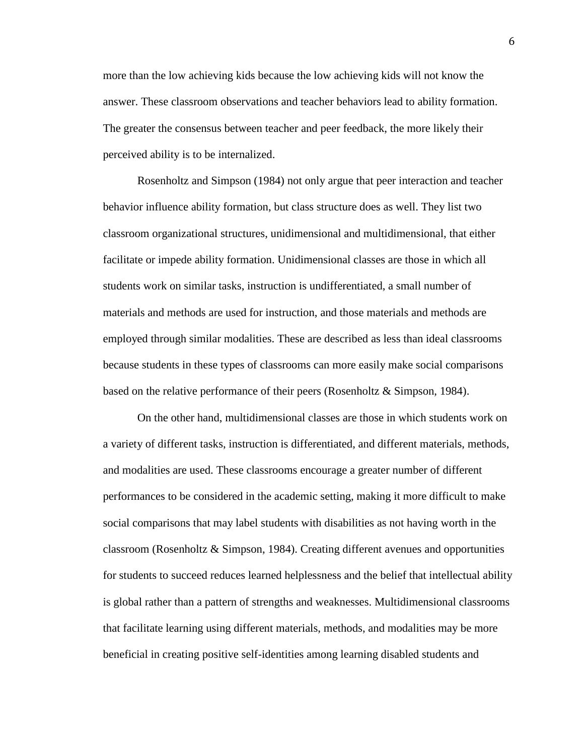more than the low achieving kids because the low achieving kids will not know the answer. These classroom observations and teacher behaviors lead to ability formation. The greater the consensus between teacher and peer feedback, the more likely their perceived ability is to be internalized.

Rosenholtz and Simpson (1984) not only argue that peer interaction and teacher behavior influence ability formation, but class structure does as well. They list two classroom organizational structures, unidimensional and multidimensional, that either facilitate or impede ability formation. Unidimensional classes are those in which all students work on similar tasks, instruction is undifferentiated, a small number of materials and methods are used for instruction, and those materials and methods are employed through similar modalities. These are described as less than ideal classrooms because students in these types of classrooms can more easily make social comparisons based on the relative performance of their peers (Rosenholtz & Simpson, 1984).

On the other hand, multidimensional classes are those in which students work on a variety of different tasks, instruction is differentiated, and different materials, methods, and modalities are used. These classrooms encourage a greater number of different performances to be considered in the academic setting, making it more difficult to make social comparisons that may label students with disabilities as not having worth in the classroom (Rosenholtz & Simpson, 1984). Creating different avenues and opportunities for students to succeed reduces learned helplessness and the belief that intellectual ability is global rather than a pattern of strengths and weaknesses. Multidimensional classrooms that facilitate learning using different materials, methods, and modalities may be more beneficial in creating positive self-identities among learning disabled students and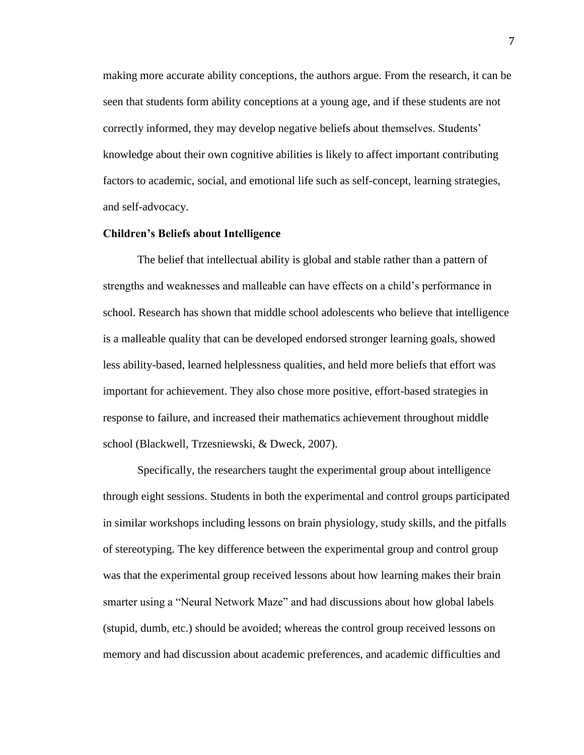making more accurate ability conceptions, the authors argue. From the research, it can be seen that students form ability conceptions at a young age, and if these students are not correctly informed, they may develop negative beliefs about themselves. Students' knowledge about their own cognitive abilities is likely to affect important contributing factors to academic, social, and emotional life such as self-concept, learning strategies, and self-advocacy.

#### **Children's Beliefs about Intelligence**

The belief that intellectual ability is global and stable rather than a pattern of strengths and weaknesses and malleable can have effects on a child's performance in school. Research has shown that middle school adolescents who believe that intelligence is a malleable quality that can be developed endorsed stronger learning goals, showed less ability-based, learned helplessness qualities, and held more beliefs that effort was important for achievement. They also chose more positive, effort-based strategies in response to failure, and increased their mathematics achievement throughout middle school (Blackwell, Trzesniewski, & Dweck, 2007).

Specifically, the researchers taught the experimental group about intelligence through eight sessions. Students in both the experimental and control groups participated in similar workshops including lessons on brain physiology, study skills, and the pitfalls of stereotyping. The key difference between the experimental group and control group was that the experimental group received lessons about how learning makes their brain smarter using a "Neural Network Maze" and had discussions about how global labels (stupid, dumb, etc.) should be avoided; whereas the control group received lessons on memory and had discussion about academic preferences, and academic difficulties and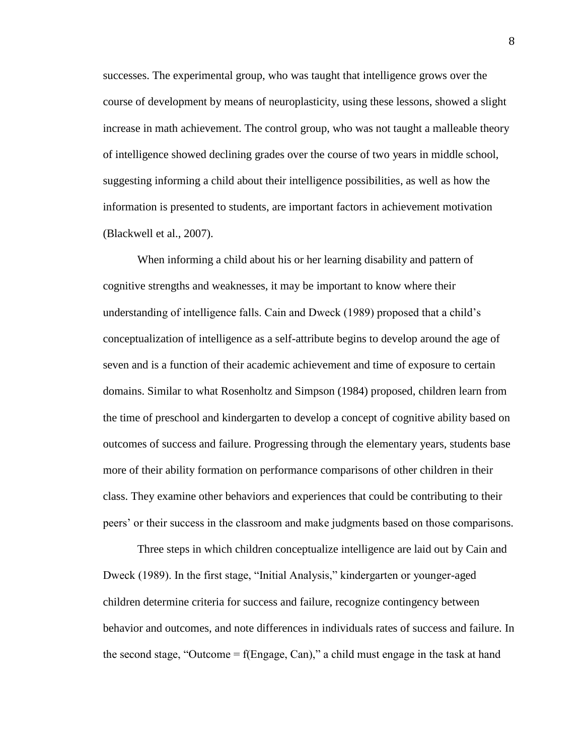successes. The experimental group, who was taught that intelligence grows over the course of development by means of neuroplasticity, using these lessons, showed a slight increase in math achievement. The control group, who was not taught a malleable theory of intelligence showed declining grades over the course of two years in middle school, suggesting informing a child about their intelligence possibilities, as well as how the information is presented to students, are important factors in achievement motivation (Blackwell et al., 2007).

When informing a child about his or her learning disability and pattern of cognitive strengths and weaknesses, it may be important to know where their understanding of intelligence falls. Cain and Dweck (1989) proposed that a child's conceptualization of intelligence as a self-attribute begins to develop around the age of seven and is a function of their academic achievement and time of exposure to certain domains. Similar to what Rosenholtz and Simpson (1984) proposed, children learn from the time of preschool and kindergarten to develop a concept of cognitive ability based on outcomes of success and failure. Progressing through the elementary years, students base more of their ability formation on performance comparisons of other children in their class. They examine other behaviors and experiences that could be contributing to their peers' or their success in the classroom and make judgments based on those comparisons.

Three steps in which children conceptualize intelligence are laid out by Cain and Dweck (1989). In the first stage, "Initial Analysis," kindergarten or younger-aged children determine criteria for success and failure, recognize contingency between behavior and outcomes, and note differences in individuals rates of success and failure. In the second stage, "Outcome = f(Engage, Can)," a child must engage in the task at hand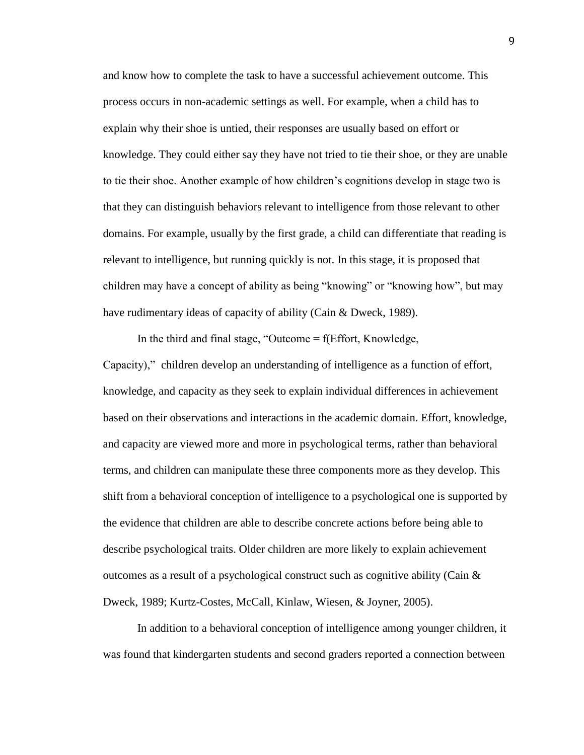and know how to complete the task to have a successful achievement outcome. This process occurs in non-academic settings as well. For example, when a child has to explain why their shoe is untied, their responses are usually based on effort or knowledge. They could either say they have not tried to tie their shoe, or they are unable to tie their shoe. Another example of how children's cognitions develop in stage two is that they can distinguish behaviors relevant to intelligence from those relevant to other domains. For example, usually by the first grade, a child can differentiate that reading is relevant to intelligence, but running quickly is not. In this stage, it is proposed that children may have a concept of ability as being "knowing" or "knowing how", but may have rudimentary ideas of capacity of ability (Cain & Dweck, 1989).

In the third and final stage, "Outcome = f(Effort, Knowledge,

Capacity)," children develop an understanding of intelligence as a function of effort, knowledge, and capacity as they seek to explain individual differences in achievement based on their observations and interactions in the academic domain. Effort, knowledge, and capacity are viewed more and more in psychological terms, rather than behavioral terms, and children can manipulate these three components more as they develop. This shift from a behavioral conception of intelligence to a psychological one is supported by the evidence that children are able to describe concrete actions before being able to describe psychological traits. Older children are more likely to explain achievement outcomes as a result of a psychological construct such as cognitive ability (Cain  $\&$ Dweck, 1989; Kurtz-Costes, McCall, Kinlaw, Wiesen, & Joyner, 2005).

In addition to a behavioral conception of intelligence among younger children, it was found that kindergarten students and second graders reported a connection between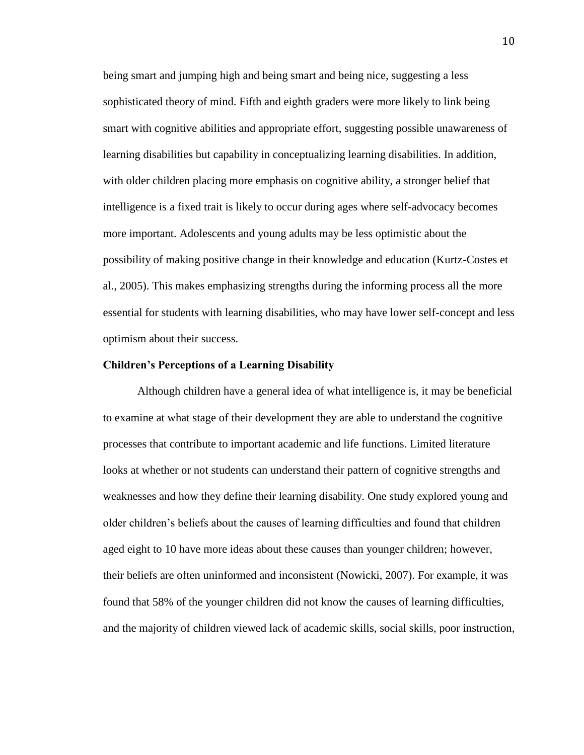being smart and jumping high and being smart and being nice, suggesting a less sophisticated theory of mind. Fifth and eighth graders were more likely to link being smart with cognitive abilities and appropriate effort, suggesting possible unawareness of learning disabilities but capability in conceptualizing learning disabilities. In addition, with older children placing more emphasis on cognitive ability, a stronger belief that intelligence is a fixed trait is likely to occur during ages where self-advocacy becomes more important. Adolescents and young adults may be less optimistic about the possibility of making positive change in their knowledge and education (Kurtz-Costes et al., 2005). This makes emphasizing strengths during the informing process all the more essential for students with learning disabilities, who may have lower self-concept and less optimism about their success.

#### **Children's Perceptions of a Learning Disability**

Although children have a general idea of what intelligence is, it may be beneficial to examine at what stage of their development they are able to understand the cognitive processes that contribute to important academic and life functions. Limited literature looks at whether or not students can understand their pattern of cognitive strengths and weaknesses and how they define their learning disability. One study explored young and older children's beliefs about the causes of learning difficulties and found that children aged eight to 10 have more ideas about these causes than younger children; however, their beliefs are often uninformed and inconsistent (Nowicki, 2007). For example, it was found that 58% of the younger children did not know the causes of learning difficulties, and the majority of children viewed lack of academic skills, social skills, poor instruction,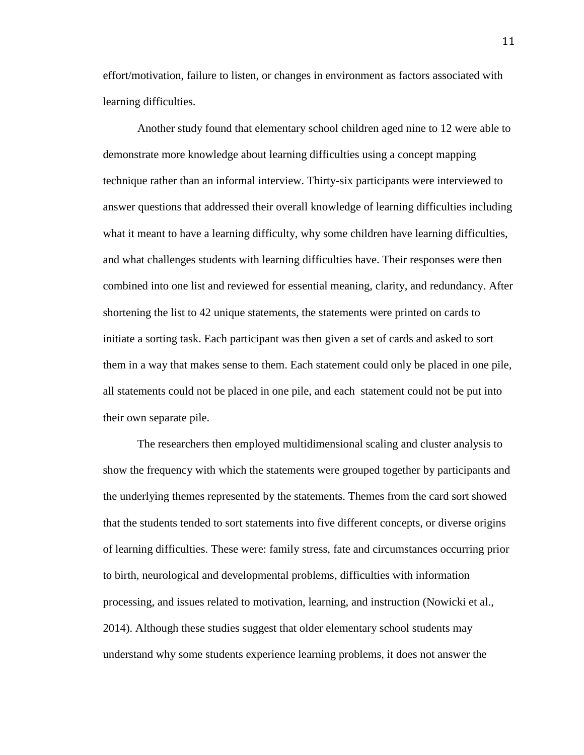effort/motivation, failure to listen, or changes in environment as factors associated with learning difficulties.

Another study found that elementary school children aged nine to 12 were able to demonstrate more knowledge about learning difficulties using a concept mapping technique rather than an informal interview. Thirty-six participants were interviewed to answer questions that addressed their overall knowledge of learning difficulties including what it meant to have a learning difficulty, why some children have learning difficulties, and what challenges students with learning difficulties have. Their responses were then combined into one list and reviewed for essential meaning, clarity, and redundancy. After shortening the list to 42 unique statements, the statements were printed on cards to initiate a sorting task. Each participant was then given a set of cards and asked to sort them in a way that makes sense to them. Each statement could only be placed in one pile, all statements could not be placed in one pile, and each statement could not be put into their own separate pile.

The researchers then employed multidimensional scaling and cluster analysis to show the frequency with which the statements were grouped together by participants and the underlying themes represented by the statements. Themes from the card sort showed that the students tended to sort statements into five different concepts, or diverse origins of learning difficulties. These were: family stress, fate and circumstances occurring prior to birth, neurological and developmental problems, difficulties with information processing, and issues related to motivation, learning, and instruction (Nowicki et al., 2014). Although these studies suggest that older elementary school students may understand why some students experience learning problems, it does not answer the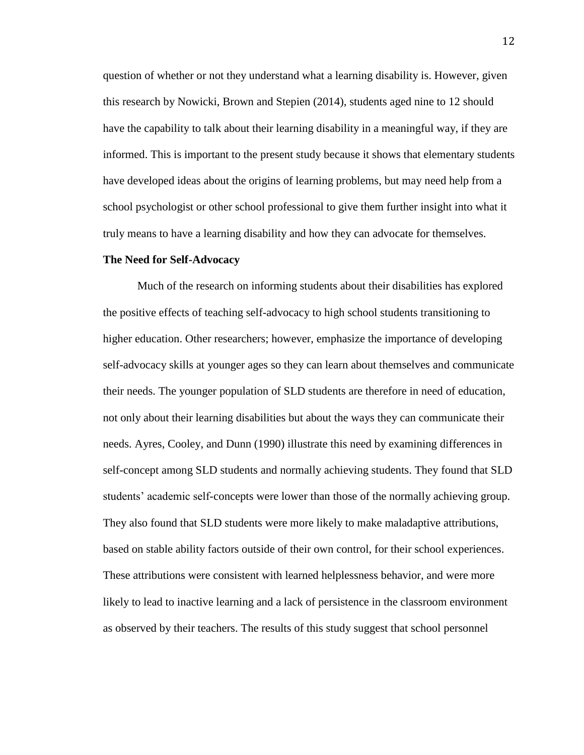question of whether or not they understand what a learning disability is. However, given this research by Nowicki, Brown and Stepien (2014), students aged nine to 12 should have the capability to talk about their learning disability in a meaningful way, if they are informed. This is important to the present study because it shows that elementary students have developed ideas about the origins of learning problems, but may need help from a school psychologist or other school professional to give them further insight into what it truly means to have a learning disability and how they can advocate for themselves.

#### **The Need for Self-Advocacy**

Much of the research on informing students about their disabilities has explored the positive effects of teaching self-advocacy to high school students transitioning to higher education. Other researchers; however, emphasize the importance of developing self-advocacy skills at younger ages so they can learn about themselves and communicate their needs. The younger population of SLD students are therefore in need of education, not only about their learning disabilities but about the ways they can communicate their needs. Ayres, Cooley, and Dunn (1990) illustrate this need by examining differences in self-concept among SLD students and normally achieving students. They found that SLD students' academic self-concepts were lower than those of the normally achieving group. They also found that SLD students were more likely to make maladaptive attributions, based on stable ability factors outside of their own control, for their school experiences. These attributions were consistent with learned helplessness behavior, and were more likely to lead to inactive learning and a lack of persistence in the classroom environment as observed by their teachers. The results of this study suggest that school personnel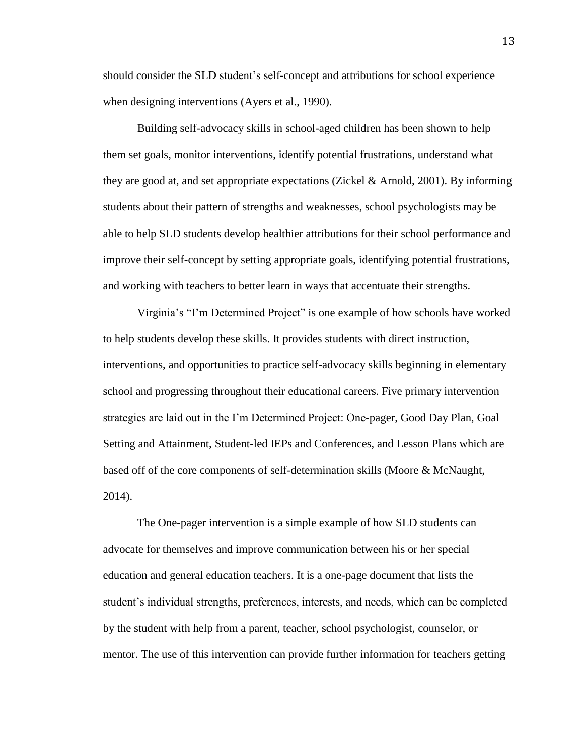should consider the SLD student's self-concept and attributions for school experience when designing interventions (Ayers et al., 1990).

Building self-advocacy skills in school-aged children has been shown to help them set goals, monitor interventions, identify potential frustrations, understand what they are good at, and set appropriate expectations (Zickel & Arnold, 2001). By informing students about their pattern of strengths and weaknesses, school psychologists may be able to help SLD students develop healthier attributions for their school performance and improve their self-concept by setting appropriate goals, identifying potential frustrations, and working with teachers to better learn in ways that accentuate their strengths.

Virginia's "I'm Determined Project" is one example of how schools have worked to help students develop these skills. It provides students with direct instruction, interventions, and opportunities to practice self-advocacy skills beginning in elementary school and progressing throughout their educational careers. Five primary intervention strategies are laid out in the I'm Determined Project: One-pager, Good Day Plan, Goal Setting and Attainment, Student-led IEPs and Conferences, and Lesson Plans which are based off of the core components of self-determination skills (Moore & McNaught, 2014).

The One-pager intervention is a simple example of how SLD students can advocate for themselves and improve communication between his or her special education and general education teachers. It is a one-page document that lists the student's individual strengths, preferences, interests, and needs, which can be completed by the student with help from a parent, teacher, school psychologist, counselor, or mentor. The use of this intervention can provide further information for teachers getting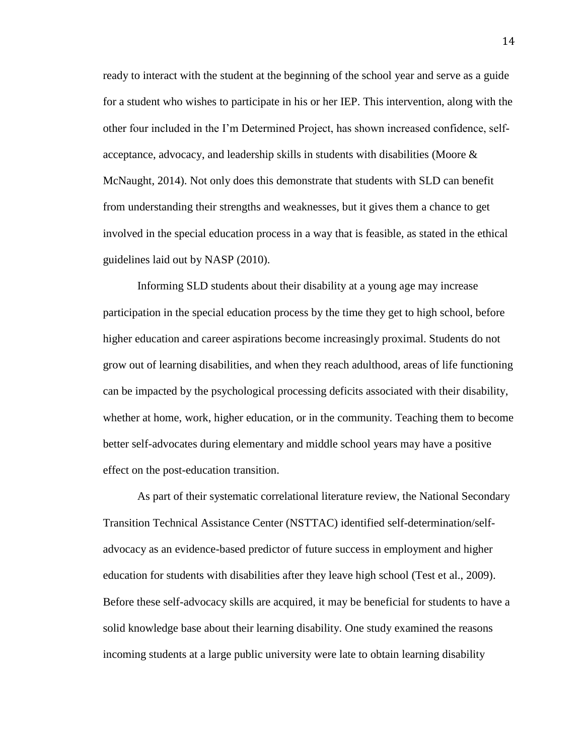ready to interact with the student at the beginning of the school year and serve as a guide for a student who wishes to participate in his or her IEP. This intervention, along with the other four included in the I'm Determined Project, has shown increased confidence, selfacceptance, advocacy, and leadership skills in students with disabilities (Moore & McNaught, 2014). Not only does this demonstrate that students with SLD can benefit from understanding their strengths and weaknesses, but it gives them a chance to get involved in the special education process in a way that is feasible, as stated in the ethical guidelines laid out by NASP (2010).

Informing SLD students about their disability at a young age may increase participation in the special education process by the time they get to high school, before higher education and career aspirations become increasingly proximal. Students do not grow out of learning disabilities, and when they reach adulthood, areas of life functioning can be impacted by the psychological processing deficits associated with their disability, whether at home, work, higher education, or in the community. Teaching them to become better self-advocates during elementary and middle school years may have a positive effect on the post-education transition.

As part of their systematic correlational literature review, the National Secondary Transition Technical Assistance Center (NSTTAC) identified self-determination/selfadvocacy as an evidence-based predictor of future success in employment and higher education for students with disabilities after they leave high school (Test et al., 2009). Before these self-advocacy skills are acquired, it may be beneficial for students to have a solid knowledge base about their learning disability. One study examined the reasons incoming students at a large public university were late to obtain learning disability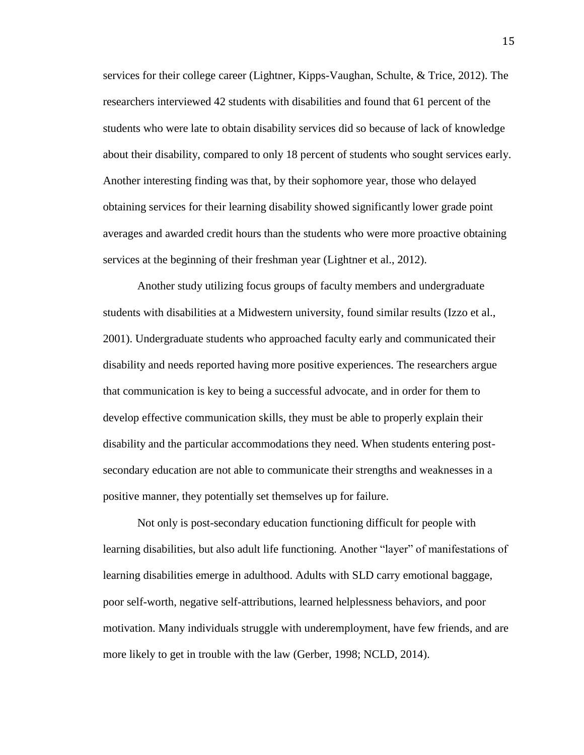services for their college career (Lightner, Kipps-Vaughan, Schulte, & Trice, 2012). The researchers interviewed 42 students with disabilities and found that 61 percent of the students who were late to obtain disability services did so because of lack of knowledge about their disability, compared to only 18 percent of students who sought services early. Another interesting finding was that, by their sophomore year, those who delayed obtaining services for their learning disability showed significantly lower grade point averages and awarded credit hours than the students who were more proactive obtaining services at the beginning of their freshman year (Lightner et al., 2012).

Another study utilizing focus groups of faculty members and undergraduate students with disabilities at a Midwestern university, found similar results (Izzo et al., 2001). Undergraduate students who approached faculty early and communicated their disability and needs reported having more positive experiences. The researchers argue that communication is key to being a successful advocate, and in order for them to develop effective communication skills, they must be able to properly explain their disability and the particular accommodations they need. When students entering postsecondary education are not able to communicate their strengths and weaknesses in a positive manner, they potentially set themselves up for failure.

Not only is post-secondary education functioning difficult for people with learning disabilities, but also adult life functioning. Another "layer" of manifestations of learning disabilities emerge in adulthood. Adults with SLD carry emotional baggage, poor self-worth, negative self-attributions, learned helplessness behaviors, and poor motivation. Many individuals struggle with underemployment, have few friends, and are more likely to get in trouble with the law (Gerber, 1998; NCLD, 2014).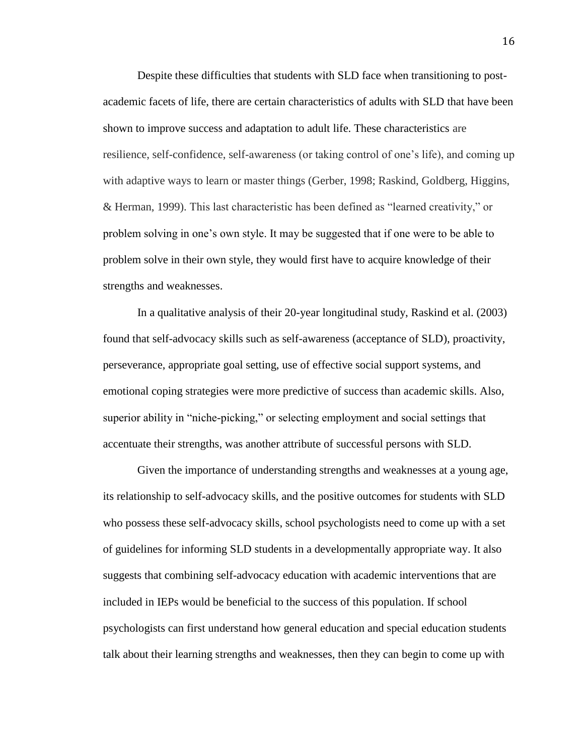Despite these difficulties that students with SLD face when transitioning to postacademic facets of life, there are certain characteristics of adults with SLD that have been shown to improve success and adaptation to adult life. These characteristics are resilience, self-confidence, self-awareness (or taking control of one's life), and coming up with adaptive ways to learn or master things (Gerber, 1998; Raskind, Goldberg, Higgins, & Herman, 1999). This last characteristic has been defined as "learned creativity," or problem solving in one's own style. It may be suggested that if one were to be able to problem solve in their own style, they would first have to acquire knowledge of their strengths and weaknesses.

In a qualitative analysis of their 20-year longitudinal study, Raskind et al. (2003) found that self-advocacy skills such as self-awareness (acceptance of SLD), proactivity, perseverance, appropriate goal setting, use of effective social support systems, and emotional coping strategies were more predictive of success than academic skills. Also, superior ability in "niche-picking," or selecting employment and social settings that accentuate their strengths, was another attribute of successful persons with SLD.

Given the importance of understanding strengths and weaknesses at a young age, its relationship to self-advocacy skills, and the positive outcomes for students with SLD who possess these self-advocacy skills, school psychologists need to come up with a set of guidelines for informing SLD students in a developmentally appropriate way. It also suggests that combining self-advocacy education with academic interventions that are included in IEPs would be beneficial to the success of this population. If school psychologists can first understand how general education and special education students talk about their learning strengths and weaknesses, then they can begin to come up with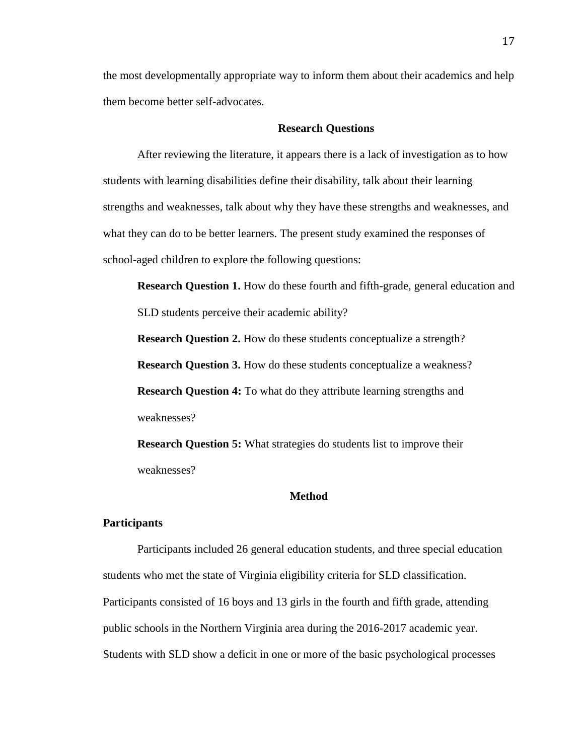the most developmentally appropriate way to inform them about their academics and help them become better self-advocates.

#### **Research Questions**

After reviewing the literature, it appears there is a lack of investigation as to how students with learning disabilities define their disability, talk about their learning strengths and weaknesses, talk about why they have these strengths and weaknesses, and what they can do to be better learners. The present study examined the responses of school-aged children to explore the following questions:

**Research Question 1.** How do these fourth and fifth-grade, general education and SLD students perceive their academic ability?

**Research Question 2.** How do these students conceptualize a strength?

**Research Question 3.** How do these students conceptualize a weakness?

**Research Question 4:** To what do they attribute learning strengths and weaknesses?

**Research Question 5:** What strategies do students list to improve their weaknesses?

# **Method**

#### **Participants**

Participants included 26 general education students, and three special education students who met the state of Virginia eligibility criteria for SLD classification. Participants consisted of 16 boys and 13 girls in the fourth and fifth grade, attending public schools in the Northern Virginia area during the 2016-2017 academic year. Students with SLD show a deficit in one or more of the basic psychological processes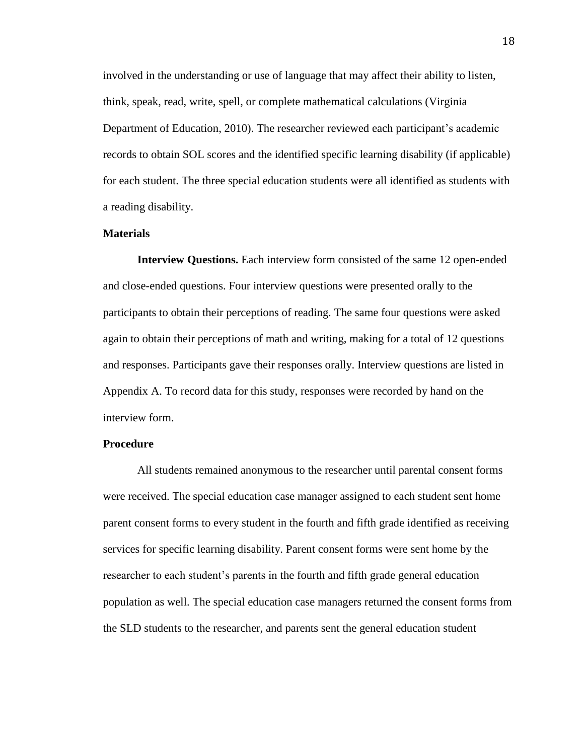involved in the understanding or use of language that may affect their ability to listen, think, speak, read, write, spell, or complete mathematical calculations (Virginia Department of Education, 2010). The researcher reviewed each participant's academic records to obtain SOL scores and the identified specific learning disability (if applicable) for each student. The three special education students were all identified as students with a reading disability.

# **Materials**

**Interview Questions.** Each interview form consisted of the same 12 open-ended and close-ended questions. Four interview questions were presented orally to the participants to obtain their perceptions of reading. The same four questions were asked again to obtain their perceptions of math and writing, making for a total of 12 questions and responses. Participants gave their responses orally. Interview questions are listed in Appendix A. To record data for this study, responses were recorded by hand on the interview form.

# **Procedure**

All students remained anonymous to the researcher until parental consent forms were received. The special education case manager assigned to each student sent home parent consent forms to every student in the fourth and fifth grade identified as receiving services for specific learning disability. Parent consent forms were sent home by the researcher to each student's parents in the fourth and fifth grade general education population as well. The special education case managers returned the consent forms from the SLD students to the researcher, and parents sent the general education student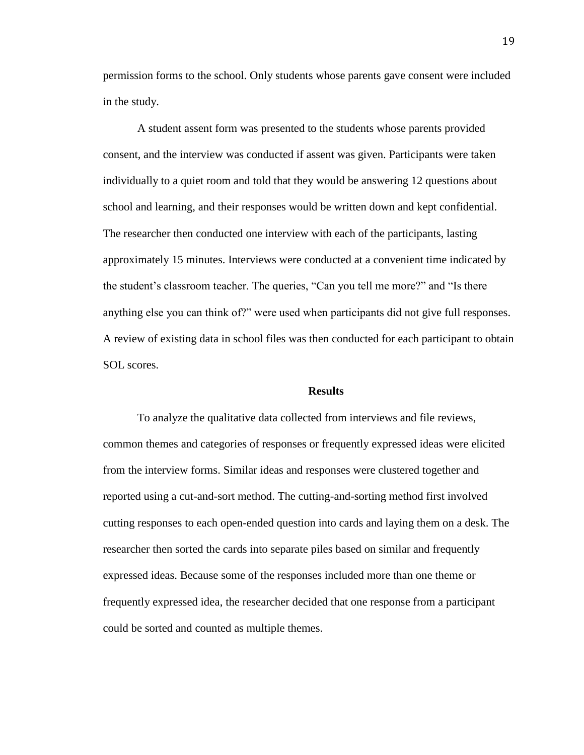permission forms to the school. Only students whose parents gave consent were included in the study.

A student assent form was presented to the students whose parents provided consent, and the interview was conducted if assent was given. Participants were taken individually to a quiet room and told that they would be answering 12 questions about school and learning, and their responses would be written down and kept confidential. The researcher then conducted one interview with each of the participants, lasting approximately 15 minutes. Interviews were conducted at a convenient time indicated by the student's classroom teacher. The queries, "Can you tell me more?" and "Is there anything else you can think of?" were used when participants did not give full responses. A review of existing data in school files was then conducted for each participant to obtain SOL scores.

#### **Results**

To analyze the qualitative data collected from interviews and file reviews, common themes and categories of responses or frequently expressed ideas were elicited from the interview forms. Similar ideas and responses were clustered together and reported using a cut-and-sort method. The cutting-and-sorting method first involved cutting responses to each open-ended question into cards and laying them on a desk. The researcher then sorted the cards into separate piles based on similar and frequently expressed ideas. Because some of the responses included more than one theme or frequently expressed idea, the researcher decided that one response from a participant could be sorted and counted as multiple themes.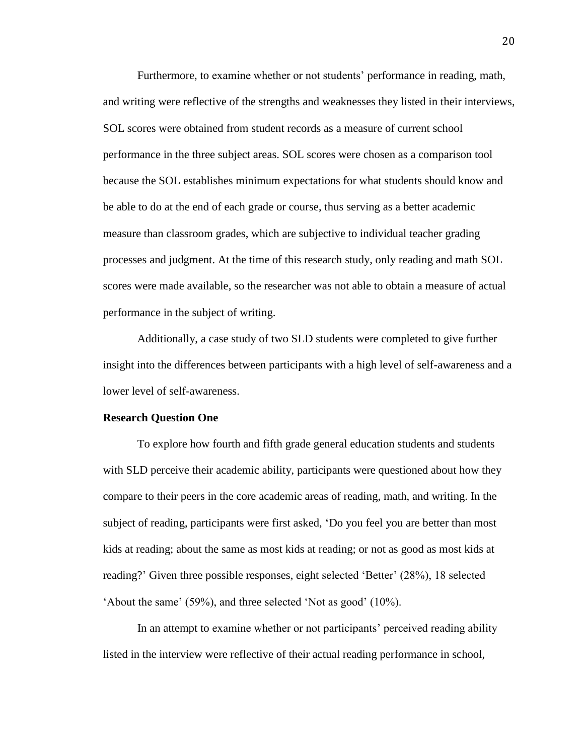Furthermore, to examine whether or not students' performance in reading, math, and writing were reflective of the strengths and weaknesses they listed in their interviews, SOL scores were obtained from student records as a measure of current school performance in the three subject areas. SOL scores were chosen as a comparison tool because the SOL establishes minimum expectations for what students should know and be able to do at the end of each grade or course, thus serving as a better academic measure than classroom grades, which are subjective to individual teacher grading processes and judgment. At the time of this research study, only reading and math SOL scores were made available, so the researcher was not able to obtain a measure of actual performance in the subject of writing.

Additionally, a case study of two SLD students were completed to give further insight into the differences between participants with a high level of self-awareness and a lower level of self-awareness.

#### **Research Question One**

To explore how fourth and fifth grade general education students and students with SLD perceive their academic ability, participants were questioned about how they compare to their peers in the core academic areas of reading, math, and writing. In the subject of reading, participants were first asked, 'Do you feel you are better than most kids at reading; about the same as most kids at reading; or not as good as most kids at reading?' Given three possible responses, eight selected 'Better' (28%), 18 selected 'About the same' (59%), and three selected 'Not as good' (10%).

In an attempt to examine whether or not participants' perceived reading ability listed in the interview were reflective of their actual reading performance in school,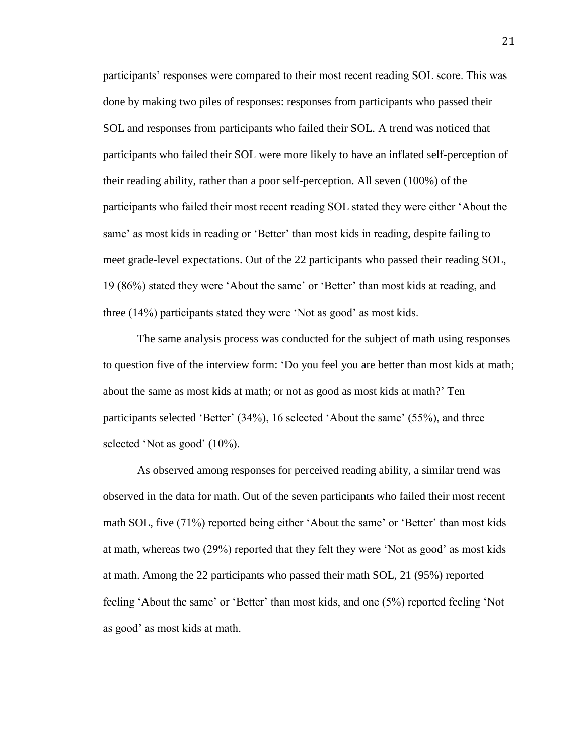participants' responses were compared to their most recent reading SOL score. This was done by making two piles of responses: responses from participants who passed their SOL and responses from participants who failed their SOL. A trend was noticed that participants who failed their SOL were more likely to have an inflated self-perception of their reading ability, rather than a poor self-perception. All seven (100%) of the participants who failed their most recent reading SOL stated they were either 'About the same' as most kids in reading or 'Better' than most kids in reading, despite failing to meet grade-level expectations. Out of the 22 participants who passed their reading SOL, 19 (86%) stated they were 'About the same' or 'Better' than most kids at reading, and three (14%) participants stated they were 'Not as good' as most kids.

The same analysis process was conducted for the subject of math using responses to question five of the interview form: 'Do you feel you are better than most kids at math; about the same as most kids at math; or not as good as most kids at math?' Ten participants selected 'Better' (34%), 16 selected 'About the same' (55%), and three selected 'Not as good' (10%).

As observed among responses for perceived reading ability, a similar trend was observed in the data for math. Out of the seven participants who failed their most recent math SOL, five (71%) reported being either 'About the same' or 'Better' than most kids at math, whereas two (29%) reported that they felt they were 'Not as good' as most kids at math. Among the 22 participants who passed their math SOL, 21 (95%) reported feeling 'About the same' or 'Better' than most kids, and one (5%) reported feeling 'Not as good' as most kids at math.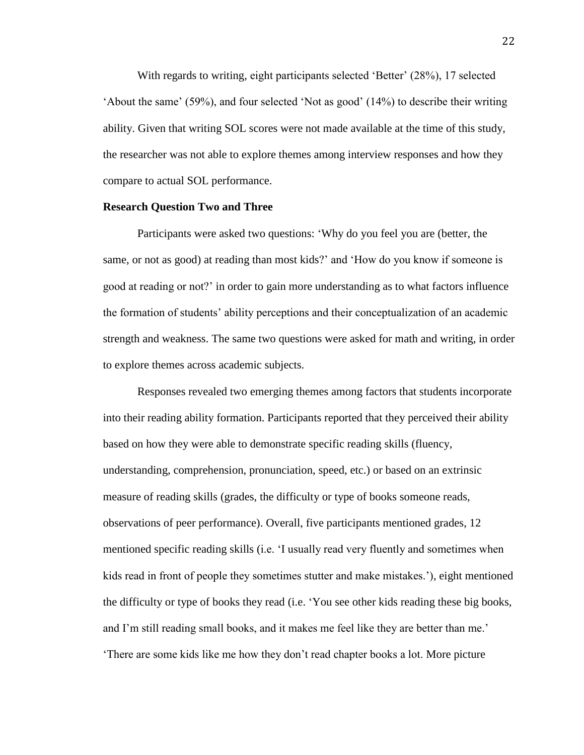With regards to writing, eight participants selected 'Better' (28%), 17 selected 'About the same' (59%), and four selected 'Not as good' (14%) to describe their writing ability. Given that writing SOL scores were not made available at the time of this study, the researcher was not able to explore themes among interview responses and how they compare to actual SOL performance.

### **Research Question Two and Three**

Participants were asked two questions: 'Why do you feel you are (better, the same, or not as good) at reading than most kids?' and 'How do you know if someone is good at reading or not?' in order to gain more understanding as to what factors influence the formation of students' ability perceptions and their conceptualization of an academic strength and weakness. The same two questions were asked for math and writing, in order to explore themes across academic subjects.

Responses revealed two emerging themes among factors that students incorporate into their reading ability formation. Participants reported that they perceived their ability based on how they were able to demonstrate specific reading skills (fluency, understanding, comprehension, pronunciation, speed, etc.) or based on an extrinsic measure of reading skills (grades, the difficulty or type of books someone reads, observations of peer performance). Overall, five participants mentioned grades, 12 mentioned specific reading skills (i.e. 'I usually read very fluently and sometimes when kids read in front of people they sometimes stutter and make mistakes.'), eight mentioned the difficulty or type of books they read (i.e. 'You see other kids reading these big books, and I'm still reading small books, and it makes me feel like they are better than me.' 'There are some kids like me how they don't read chapter books a lot. More picture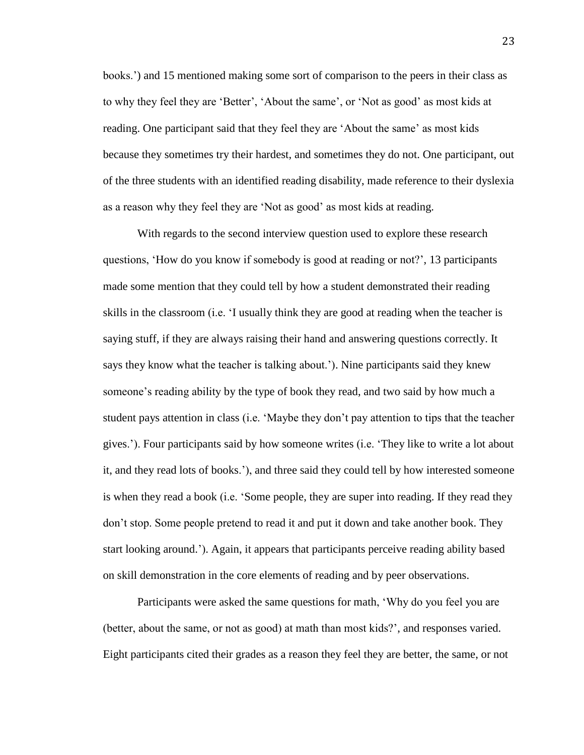books.') and 15 mentioned making some sort of comparison to the peers in their class as to why they feel they are 'Better', 'About the same', or 'Not as good' as most kids at reading. One participant said that they feel they are 'About the same' as most kids because they sometimes try their hardest, and sometimes they do not. One participant, out of the three students with an identified reading disability, made reference to their dyslexia as a reason why they feel they are 'Not as good' as most kids at reading.

With regards to the second interview question used to explore these research questions, 'How do you know if somebody is good at reading or not?', 13 participants made some mention that they could tell by how a student demonstrated their reading skills in the classroom (i.e. 'I usually think they are good at reading when the teacher is saying stuff, if they are always raising their hand and answering questions correctly. It says they know what the teacher is talking about.'). Nine participants said they knew someone's reading ability by the type of book they read, and two said by how much a student pays attention in class (i.e. 'Maybe they don't pay attention to tips that the teacher gives.'). Four participants said by how someone writes (i.e. 'They like to write a lot about it, and they read lots of books.'), and three said they could tell by how interested someone is when they read a book (i.e. 'Some people, they are super into reading. If they read they don't stop. Some people pretend to read it and put it down and take another book. They start looking around.'). Again, it appears that participants perceive reading ability based on skill demonstration in the core elements of reading and by peer observations.

Participants were asked the same questions for math, 'Why do you feel you are (better, about the same, or not as good) at math than most kids?', and responses varied. Eight participants cited their grades as a reason they feel they are better, the same, or not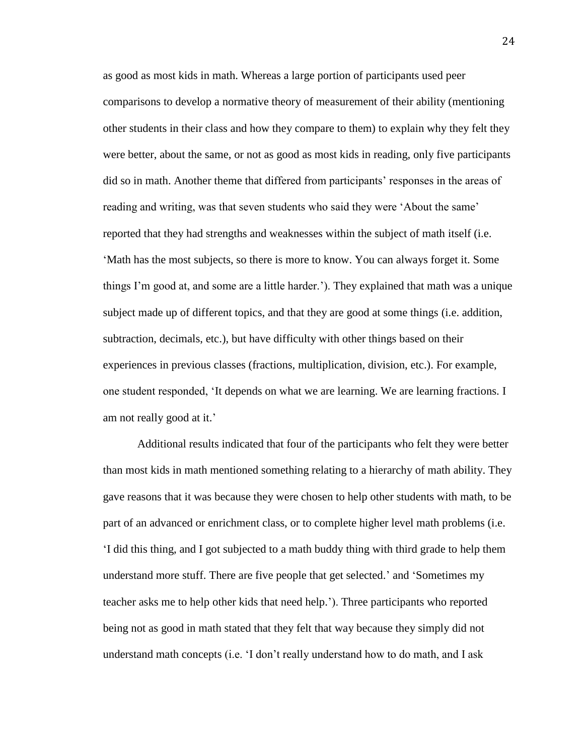as good as most kids in math. Whereas a large portion of participants used peer comparisons to develop a normative theory of measurement of their ability (mentioning other students in their class and how they compare to them) to explain why they felt they were better, about the same, or not as good as most kids in reading, only five participants did so in math. Another theme that differed from participants' responses in the areas of reading and writing, was that seven students who said they were 'About the same' reported that they had strengths and weaknesses within the subject of math itself (i.e. 'Math has the most subjects, so there is more to know. You can always forget it. Some things I'm good at, and some are a little harder.'). They explained that math was a unique subject made up of different topics, and that they are good at some things (i.e. addition, subtraction, decimals, etc.), but have difficulty with other things based on their experiences in previous classes (fractions, multiplication, division, etc.). For example, one student responded, 'It depends on what we are learning. We are learning fractions. I am not really good at it.'

Additional results indicated that four of the participants who felt they were better than most kids in math mentioned something relating to a hierarchy of math ability. They gave reasons that it was because they were chosen to help other students with math, to be part of an advanced or enrichment class, or to complete higher level math problems (i.e. 'I did this thing, and I got subjected to a math buddy thing with third grade to help them understand more stuff. There are five people that get selected.' and 'Sometimes my teacher asks me to help other kids that need help.'). Three participants who reported being not as good in math stated that they felt that way because they simply did not understand math concepts (i.e. 'I don't really understand how to do math, and I ask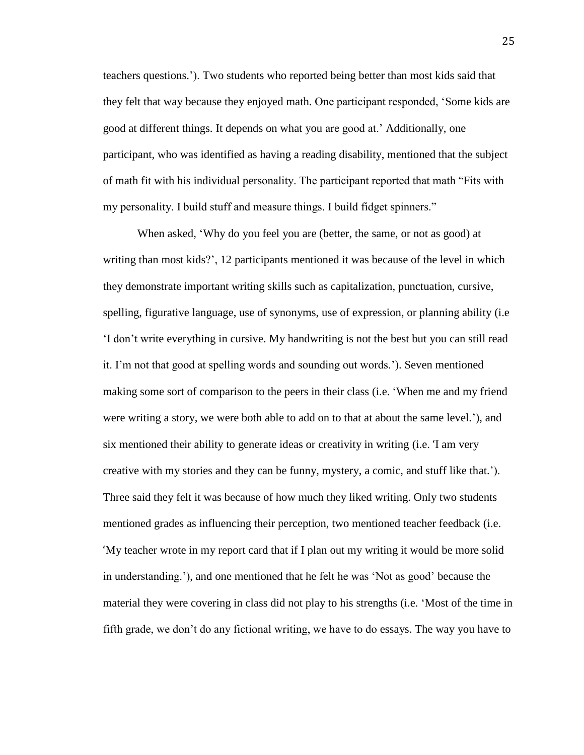teachers questions.'). Two students who reported being better than most kids said that they felt that way because they enjoyed math. One participant responded, 'Some kids are good at different things. It depends on what you are good at.' Additionally, one participant, who was identified as having a reading disability, mentioned that the subject of math fit with his individual personality. The participant reported that math "Fits with my personality. I build stuff and measure things. I build fidget spinners."

When asked, 'Why do you feel you are (better, the same, or not as good) at writing than most kids?', 12 participants mentioned it was because of the level in which they demonstrate important writing skills such as capitalization, punctuation, cursive, spelling, figurative language, use of synonyms, use of expression, or planning ability (i.e 'I don't write everything in cursive. My handwriting is not the best but you can still read it. I'm not that good at spelling words and sounding out words.'). Seven mentioned making some sort of comparison to the peers in their class (i.e. 'When me and my friend were writing a story, we were both able to add on to that at about the same level.'), and six mentioned their ability to generate ideas or creativity in writing (i.e. 'I am very creative with my stories and they can be funny, mystery, a comic, and stuff like that.'). Three said they felt it was because of how much they liked writing. Only two students mentioned grades as influencing their perception, two mentioned teacher feedback (i.e. 'My teacher wrote in my report card that if I plan out my writing it would be more solid in understanding.'), and one mentioned that he felt he was 'Not as good' because the material they were covering in class did not play to his strengths (i.e. 'Most of the time in fifth grade, we don't do any fictional writing, we have to do essays. The way you have to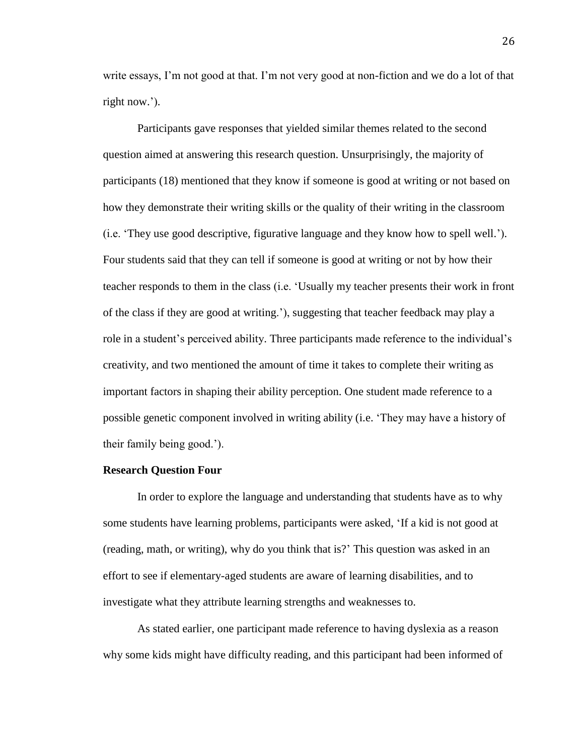write essays, I'm not good at that. I'm not very good at non-fiction and we do a lot of that right now.').

Participants gave responses that yielded similar themes related to the second question aimed at answering this research question. Unsurprisingly, the majority of participants (18) mentioned that they know if someone is good at writing or not based on how they demonstrate their writing skills or the quality of their writing in the classroom (i.e. 'They use good descriptive, figurative language and they know how to spell well.'). Four students said that they can tell if someone is good at writing or not by how their teacher responds to them in the class (i.e. 'Usually my teacher presents their work in front of the class if they are good at writing.'), suggesting that teacher feedback may play a role in a student's perceived ability. Three participants made reference to the individual's creativity, and two mentioned the amount of time it takes to complete their writing as important factors in shaping their ability perception. One student made reference to a possible genetic component involved in writing ability (i.e. 'They may have a history of their family being good.').

#### **Research Question Four**

In order to explore the language and understanding that students have as to why some students have learning problems, participants were asked, 'If a kid is not good at (reading, math, or writing), why do you think that is?' This question was asked in an effort to see if elementary-aged students are aware of learning disabilities, and to investigate what they attribute learning strengths and weaknesses to.

As stated earlier, one participant made reference to having dyslexia as a reason why some kids might have difficulty reading, and this participant had been informed of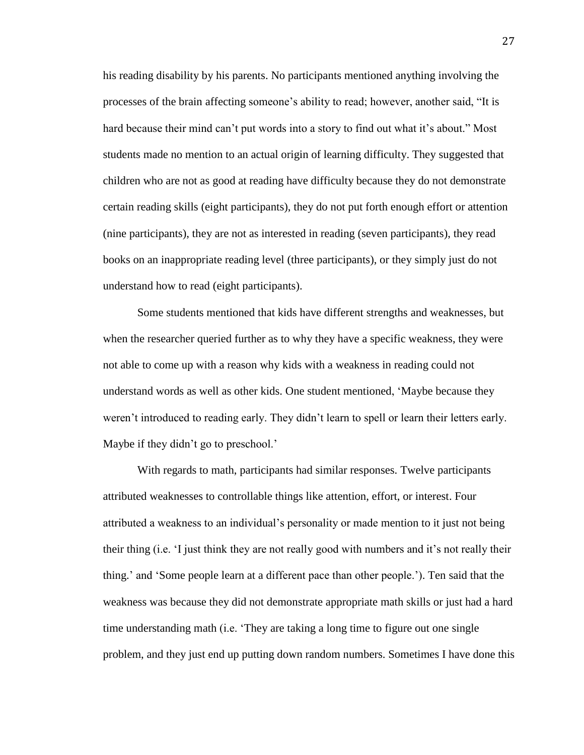his reading disability by his parents. No participants mentioned anything involving the processes of the brain affecting someone's ability to read; however, another said, "It is hard because their mind can't put words into a story to find out what it's about." Most students made no mention to an actual origin of learning difficulty. They suggested that children who are not as good at reading have difficulty because they do not demonstrate certain reading skills (eight participants), they do not put forth enough effort or attention (nine participants), they are not as interested in reading (seven participants), they read books on an inappropriate reading level (three participants), or they simply just do not understand how to read (eight participants).

Some students mentioned that kids have different strengths and weaknesses, but when the researcher queried further as to why they have a specific weakness, they were not able to come up with a reason why kids with a weakness in reading could not understand words as well as other kids. One student mentioned, 'Maybe because they weren't introduced to reading early. They didn't learn to spell or learn their letters early. Maybe if they didn't go to preschool.'

With regards to math, participants had similar responses. Twelve participants attributed weaknesses to controllable things like attention, effort, or interest. Four attributed a weakness to an individual's personality or made mention to it just not being their thing (i.e. 'I just think they are not really good with numbers and it's not really their thing.' and 'Some people learn at a different pace than other people.'). Ten said that the weakness was because they did not demonstrate appropriate math skills or just had a hard time understanding math (i.e. 'They are taking a long time to figure out one single problem, and they just end up putting down random numbers. Sometimes I have done this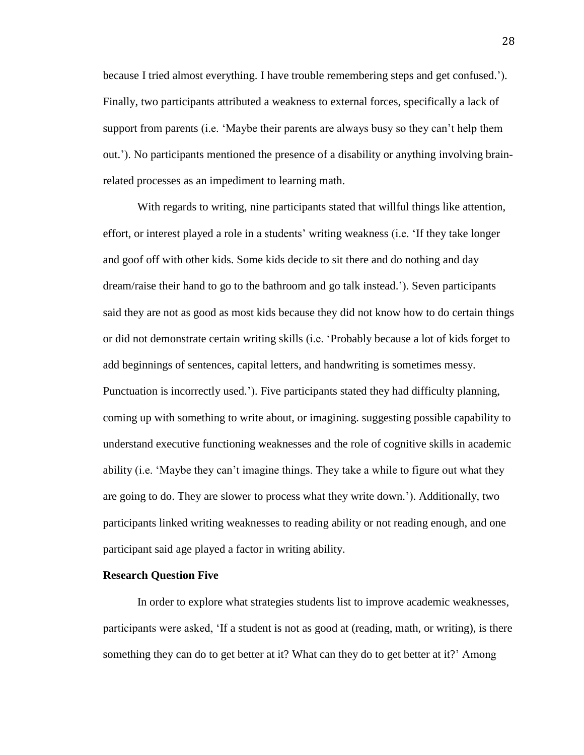because I tried almost everything. I have trouble remembering steps and get confused.'). Finally, two participants attributed a weakness to external forces, specifically a lack of support from parents (i.e. 'Maybe their parents are always busy so they can't help them out.'). No participants mentioned the presence of a disability or anything involving brainrelated processes as an impediment to learning math.

With regards to writing, nine participants stated that willful things like attention, effort, or interest played a role in a students' writing weakness (i.e. 'If they take longer and goof off with other kids. Some kids decide to sit there and do nothing and day dream/raise their hand to go to the bathroom and go talk instead.'). Seven participants said they are not as good as most kids because they did not know how to do certain things or did not demonstrate certain writing skills (i.e. 'Probably because a lot of kids forget to add beginnings of sentences, capital letters, and handwriting is sometimes messy. Punctuation is incorrectly used.'). Five participants stated they had difficulty planning, coming up with something to write about, or imagining. suggesting possible capability to understand executive functioning weaknesses and the role of cognitive skills in academic ability (i.e. 'Maybe they can't imagine things. They take a while to figure out what they are going to do. They are slower to process what they write down.'). Additionally, two participants linked writing weaknesses to reading ability or not reading enough, and one participant said age played a factor in writing ability.

#### **Research Question Five**

In order to explore what strategies students list to improve academic weaknesses, participants were asked, 'If a student is not as good at (reading, math, or writing), is there something they can do to get better at it? What can they do to get better at it?' Among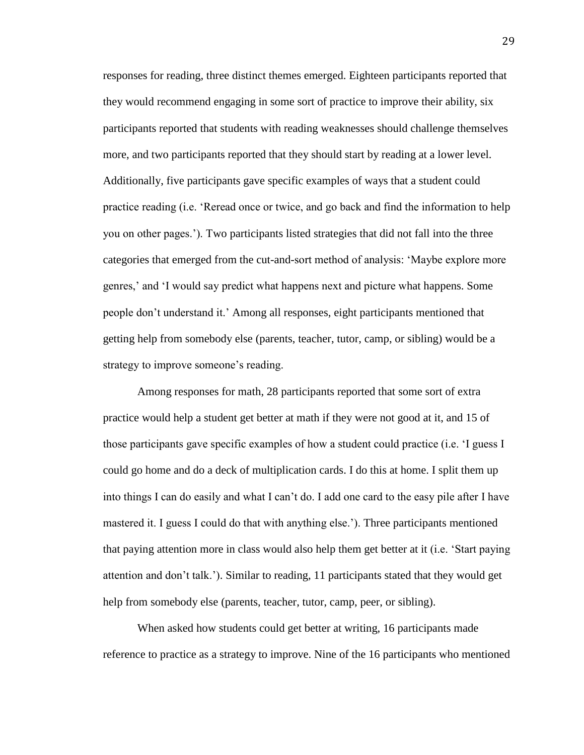responses for reading, three distinct themes emerged. Eighteen participants reported that they would recommend engaging in some sort of practice to improve their ability, six participants reported that students with reading weaknesses should challenge themselves more, and two participants reported that they should start by reading at a lower level. Additionally, five participants gave specific examples of ways that a student could practice reading (i.e. 'Reread once or twice, and go back and find the information to help you on other pages.'). Two participants listed strategies that did not fall into the three categories that emerged from the cut-and-sort method of analysis: 'Maybe explore more genres,' and 'I would say predict what happens next and picture what happens. Some people don't understand it.' Among all responses, eight participants mentioned that getting help from somebody else (parents, teacher, tutor, camp, or sibling) would be a strategy to improve someone's reading.

Among responses for math, 28 participants reported that some sort of extra practice would help a student get better at math if they were not good at it, and 15 of those participants gave specific examples of how a student could practice (i.e. 'I guess I could go home and do a deck of multiplication cards. I do this at home. I split them up into things I can do easily and what I can't do. I add one card to the easy pile after I have mastered it. I guess I could do that with anything else.'). Three participants mentioned that paying attention more in class would also help them get better at it (i.e. 'Start paying attention and don't talk.'). Similar to reading, 11 participants stated that they would get help from somebody else (parents, teacher, tutor, camp, peer, or sibling).

When asked how students could get better at writing, 16 participants made reference to practice as a strategy to improve. Nine of the 16 participants who mentioned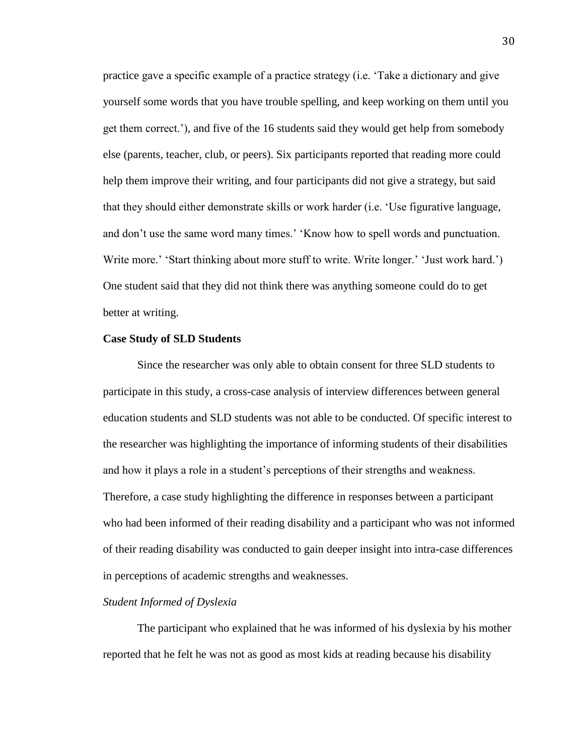practice gave a specific example of a practice strategy (i.e. 'Take a dictionary and give yourself some words that you have trouble spelling, and keep working on them until you get them correct.'), and five of the 16 students said they would get help from somebody else (parents, teacher, club, or peers). Six participants reported that reading more could help them improve their writing, and four participants did not give a strategy, but said that they should either demonstrate skills or work harder (i.e. 'Use figurative language, and don't use the same word many times.' 'Know how to spell words and punctuation. Write more.' 'Start thinking about more stuff to write. Write longer.' 'Just work hard.') One student said that they did not think there was anything someone could do to get better at writing.

#### **Case Study of SLD Students**

Since the researcher was only able to obtain consent for three SLD students to participate in this study, a cross-case analysis of interview differences between general education students and SLD students was not able to be conducted. Of specific interest to the researcher was highlighting the importance of informing students of their disabilities and how it plays a role in a student's perceptions of their strengths and weakness. Therefore, a case study highlighting the difference in responses between a participant who had been informed of their reading disability and a participant who was not informed of their reading disability was conducted to gain deeper insight into intra-case differences in perceptions of academic strengths and weaknesses.

## *Student Informed of Dyslexia*

The participant who explained that he was informed of his dyslexia by his mother reported that he felt he was not as good as most kids at reading because his disability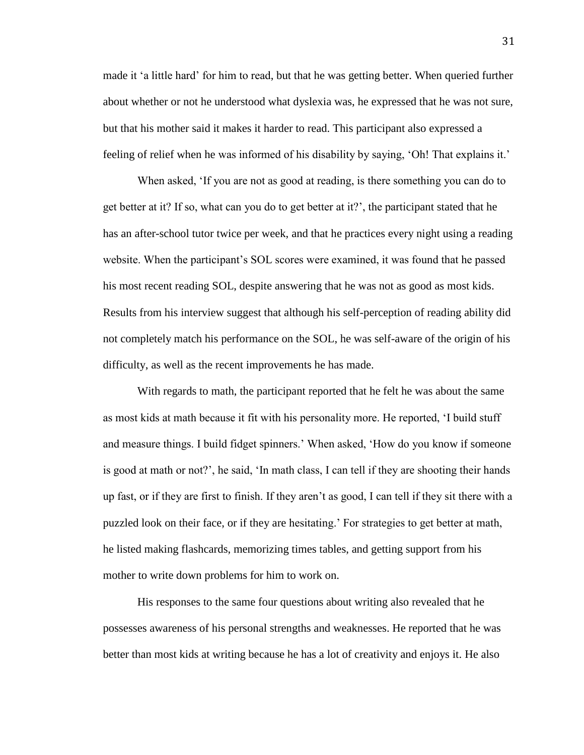made it 'a little hard' for him to read, but that he was getting better. When queried further about whether or not he understood what dyslexia was, he expressed that he was not sure, but that his mother said it makes it harder to read. This participant also expressed a feeling of relief when he was informed of his disability by saying, 'Oh! That explains it.'

When asked, 'If you are not as good at reading, is there something you can do to get better at it? If so, what can you do to get better at it?', the participant stated that he has an after-school tutor twice per week, and that he practices every night using a reading website. When the participant's SOL scores were examined, it was found that he passed his most recent reading SOL, despite answering that he was not as good as most kids. Results from his interview suggest that although his self-perception of reading ability did not completely match his performance on the SOL, he was self-aware of the origin of his difficulty, as well as the recent improvements he has made.

With regards to math, the participant reported that he felt he was about the same as most kids at math because it fit with his personality more. He reported, 'I build stuff and measure things. I build fidget spinners.' When asked, 'How do you know if someone is good at math or not?', he said, 'In math class, I can tell if they are shooting their hands up fast, or if they are first to finish. If they aren't as good, I can tell if they sit there with a puzzled look on their face, or if they are hesitating.' For strategies to get better at math, he listed making flashcards, memorizing times tables, and getting support from his mother to write down problems for him to work on.

His responses to the same four questions about writing also revealed that he possesses awareness of his personal strengths and weaknesses. He reported that he was better than most kids at writing because he has a lot of creativity and enjoys it. He also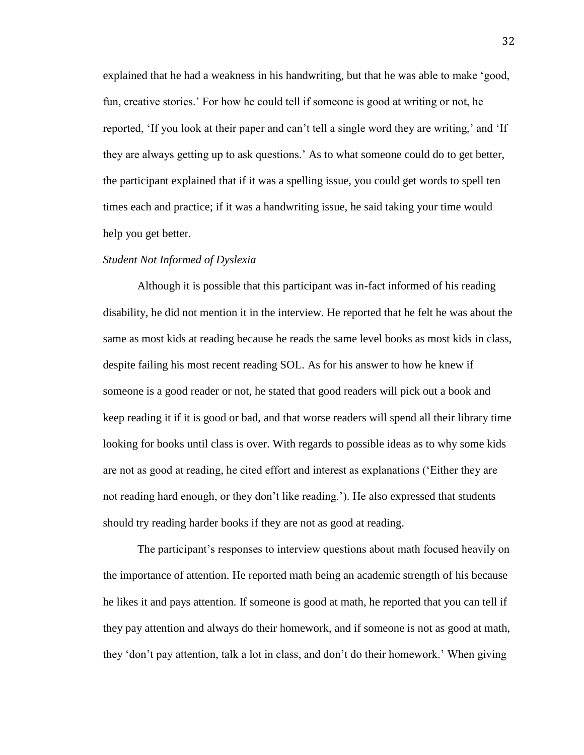explained that he had a weakness in his handwriting, but that he was able to make 'good, fun, creative stories.' For how he could tell if someone is good at writing or not, he reported, 'If you look at their paper and can't tell a single word they are writing,' and 'If they are always getting up to ask questions.' As to what someone could do to get better, the participant explained that if it was a spelling issue, you could get words to spell ten times each and practice; if it was a handwriting issue, he said taking your time would help you get better.

## *Student Not Informed of Dyslexia*

Although it is possible that this participant was in-fact informed of his reading disability, he did not mention it in the interview. He reported that he felt he was about the same as most kids at reading because he reads the same level books as most kids in class, despite failing his most recent reading SOL. As for his answer to how he knew if someone is a good reader or not, he stated that good readers will pick out a book and keep reading it if it is good or bad, and that worse readers will spend all their library time looking for books until class is over. With regards to possible ideas as to why some kids are not as good at reading, he cited effort and interest as explanations ('Either they are not reading hard enough, or they don't like reading.'). He also expressed that students should try reading harder books if they are not as good at reading.

The participant's responses to interview questions about math focused heavily on the importance of attention. He reported math being an academic strength of his because he likes it and pays attention. If someone is good at math, he reported that you can tell if they pay attention and always do their homework, and if someone is not as good at math, they 'don't pay attention, talk a lot in class, and don't do their homework.' When giving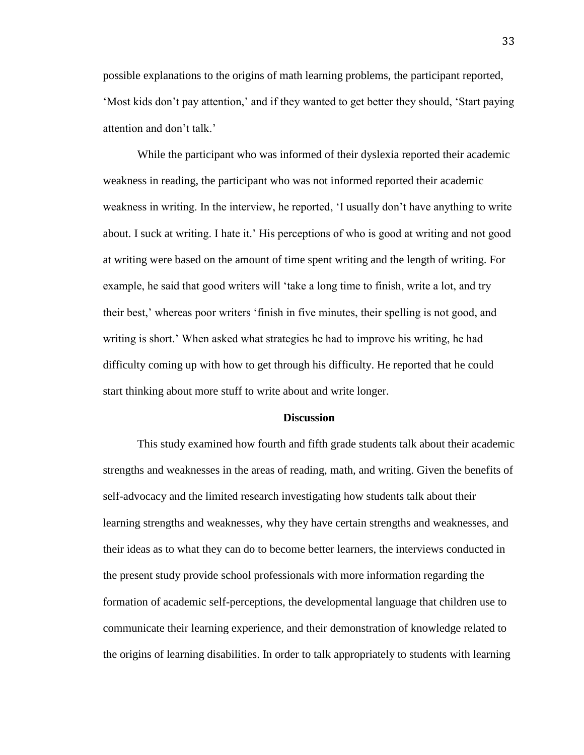possible explanations to the origins of math learning problems, the participant reported, 'Most kids don't pay attention,' and if they wanted to get better they should, 'Start paying attention and don't talk.'

While the participant who was informed of their dyslexia reported their academic weakness in reading, the participant who was not informed reported their academic weakness in writing. In the interview, he reported, 'I usually don't have anything to write about. I suck at writing. I hate it.' His perceptions of who is good at writing and not good at writing were based on the amount of time spent writing and the length of writing. For example, he said that good writers will 'take a long time to finish, write a lot, and try their best,' whereas poor writers 'finish in five minutes, their spelling is not good, and writing is short.' When asked what strategies he had to improve his writing, he had difficulty coming up with how to get through his difficulty. He reported that he could start thinking about more stuff to write about and write longer.

#### **Discussion**

This study examined how fourth and fifth grade students talk about their academic strengths and weaknesses in the areas of reading, math, and writing. Given the benefits of self-advocacy and the limited research investigating how students talk about their learning strengths and weaknesses, why they have certain strengths and weaknesses, and their ideas as to what they can do to become better learners, the interviews conducted in the present study provide school professionals with more information regarding the formation of academic self-perceptions, the developmental language that children use to communicate their learning experience, and their demonstration of knowledge related to the origins of learning disabilities. In order to talk appropriately to students with learning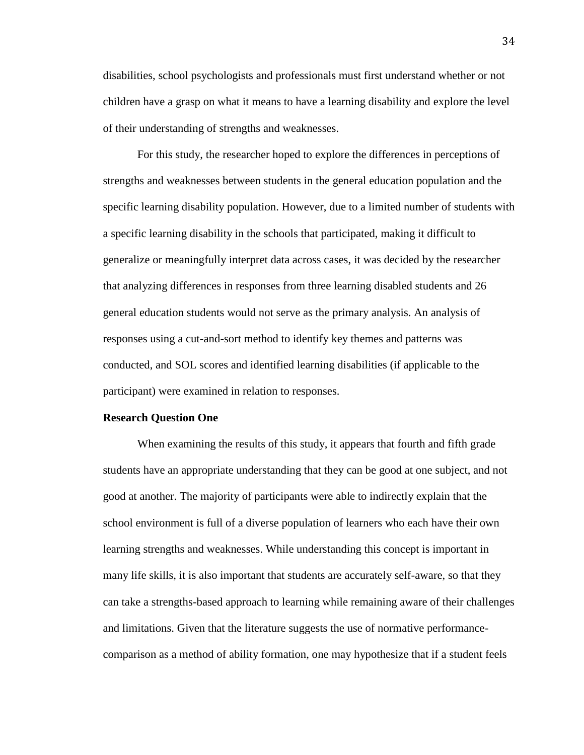disabilities, school psychologists and professionals must first understand whether or not children have a grasp on what it means to have a learning disability and explore the level of their understanding of strengths and weaknesses.

For this study, the researcher hoped to explore the differences in perceptions of strengths and weaknesses between students in the general education population and the specific learning disability population. However, due to a limited number of students with a specific learning disability in the schools that participated, making it difficult to generalize or meaningfully interpret data across cases, it was decided by the researcher that analyzing differences in responses from three learning disabled students and 26 general education students would not serve as the primary analysis. An analysis of responses using a cut-and-sort method to identify key themes and patterns was conducted, and SOL scores and identified learning disabilities (if applicable to the participant) were examined in relation to responses.

#### **Research Question One**

When examining the results of this study, it appears that fourth and fifth grade students have an appropriate understanding that they can be good at one subject, and not good at another. The majority of participants were able to indirectly explain that the school environment is full of a diverse population of learners who each have their own learning strengths and weaknesses. While understanding this concept is important in many life skills, it is also important that students are accurately self-aware, so that they can take a strengths-based approach to learning while remaining aware of their challenges and limitations. Given that the literature suggests the use of normative performancecomparison as a method of ability formation, one may hypothesize that if a student feels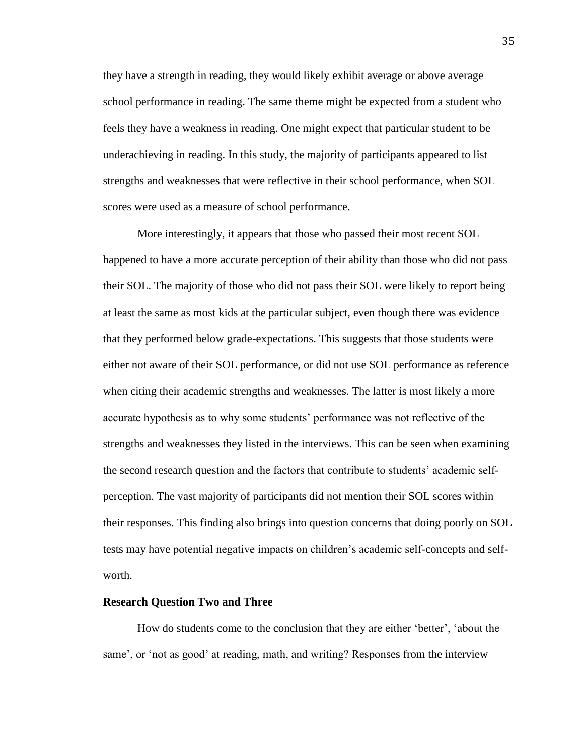they have a strength in reading, they would likely exhibit average or above average school performance in reading. The same theme might be expected from a student who feels they have a weakness in reading. One might expect that particular student to be underachieving in reading. In this study, the majority of participants appeared to list strengths and weaknesses that were reflective in their school performance, when SOL scores were used as a measure of school performance.

More interestingly, it appears that those who passed their most recent SOL happened to have a more accurate perception of their ability than those who did not pass their SOL. The majority of those who did not pass their SOL were likely to report being at least the same as most kids at the particular subject, even though there was evidence that they performed below grade-expectations. This suggests that those students were either not aware of their SOL performance, or did not use SOL performance as reference when citing their academic strengths and weaknesses. The latter is most likely a more accurate hypothesis as to why some students' performance was not reflective of the strengths and weaknesses they listed in the interviews. This can be seen when examining the second research question and the factors that contribute to students' academic selfperception. The vast majority of participants did not mention their SOL scores within their responses. This finding also brings into question concerns that doing poorly on SOL tests may have potential negative impacts on children's academic self-concepts and selfworth.

### **Research Question Two and Three**

How do students come to the conclusion that they are either 'better', 'about the same', or 'not as good' at reading, math, and writing? Responses from the interview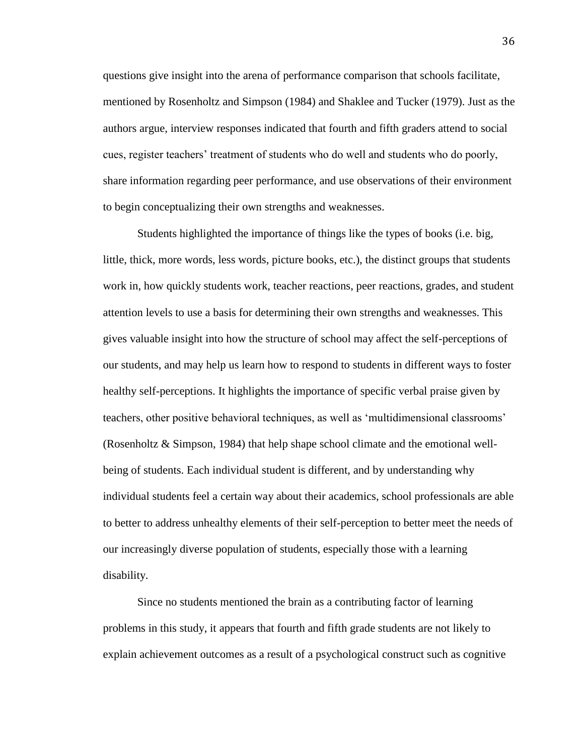questions give insight into the arena of performance comparison that schools facilitate, mentioned by Rosenholtz and Simpson (1984) and Shaklee and Tucker (1979). Just as the authors argue, interview responses indicated that fourth and fifth graders attend to social cues, register teachers' treatment of students who do well and students who do poorly, share information regarding peer performance, and use observations of their environment to begin conceptualizing their own strengths and weaknesses.

Students highlighted the importance of things like the types of books (i.e. big, little, thick, more words, less words, picture books, etc.), the distinct groups that students work in, how quickly students work, teacher reactions, peer reactions, grades, and student attention levels to use a basis for determining their own strengths and weaknesses. This gives valuable insight into how the structure of school may affect the self-perceptions of our students, and may help us learn how to respond to students in different ways to foster healthy self-perceptions. It highlights the importance of specific verbal praise given by teachers, other positive behavioral techniques, as well as 'multidimensional classrooms' (Rosenholtz & Simpson, 1984) that help shape school climate and the emotional wellbeing of students. Each individual student is different, and by understanding why individual students feel a certain way about their academics, school professionals are able to better to address unhealthy elements of their self-perception to better meet the needs of our increasingly diverse population of students, especially those with a learning disability.

Since no students mentioned the brain as a contributing factor of learning problems in this study, it appears that fourth and fifth grade students are not likely to explain achievement outcomes as a result of a psychological construct such as cognitive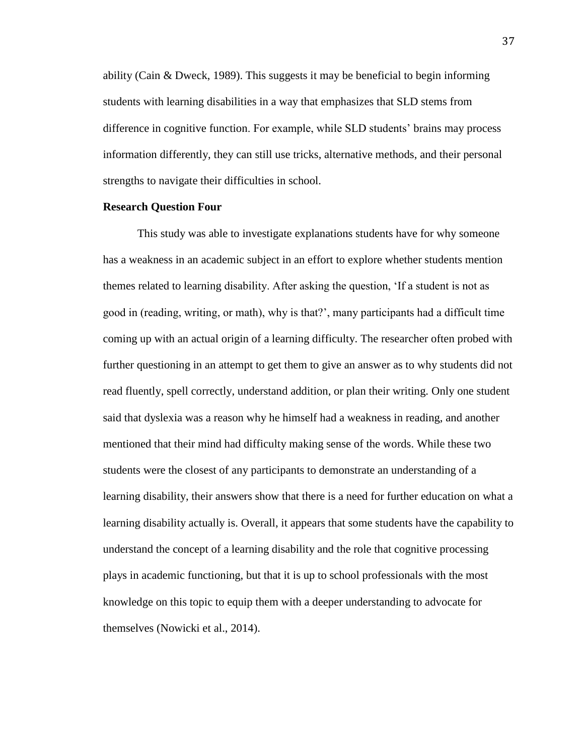ability (Cain & Dweck, 1989). This suggests it may be beneficial to begin informing students with learning disabilities in a way that emphasizes that SLD stems from difference in cognitive function. For example, while SLD students' brains may process information differently, they can still use tricks, alternative methods, and their personal strengths to navigate their difficulties in school.

## **Research Question Four**

This study was able to investigate explanations students have for why someone has a weakness in an academic subject in an effort to explore whether students mention themes related to learning disability. After asking the question, 'If a student is not as good in (reading, writing, or math), why is that?', many participants had a difficult time coming up with an actual origin of a learning difficulty. The researcher often probed with further questioning in an attempt to get them to give an answer as to why students did not read fluently, spell correctly, understand addition, or plan their writing. Only one student said that dyslexia was a reason why he himself had a weakness in reading, and another mentioned that their mind had difficulty making sense of the words. While these two students were the closest of any participants to demonstrate an understanding of a learning disability, their answers show that there is a need for further education on what a learning disability actually is. Overall, it appears that some students have the capability to understand the concept of a learning disability and the role that cognitive processing plays in academic functioning, but that it is up to school professionals with the most knowledge on this topic to equip them with a deeper understanding to advocate for themselves (Nowicki et al., 2014).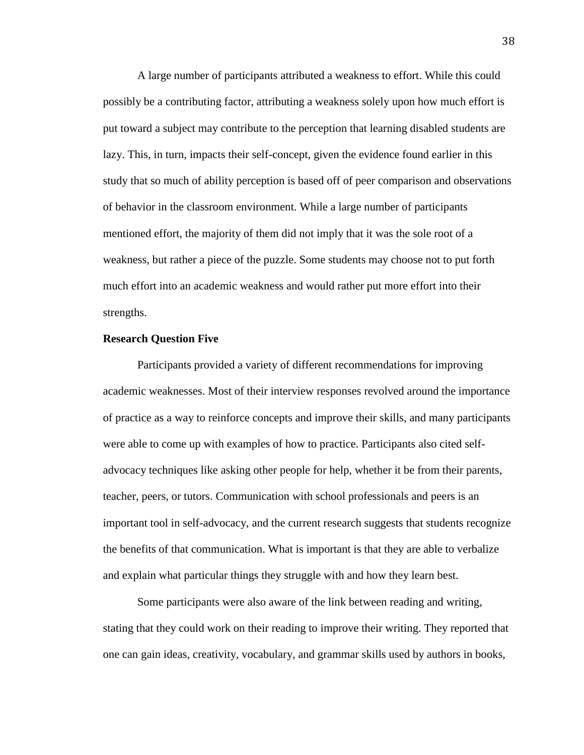A large number of participants attributed a weakness to effort. While this could possibly be a contributing factor, attributing a weakness solely upon how much effort is put toward a subject may contribute to the perception that learning disabled students are lazy. This, in turn, impacts their self-concept, given the evidence found earlier in this study that so much of ability perception is based off of peer comparison and observations of behavior in the classroom environment. While a large number of participants mentioned effort, the majority of them did not imply that it was the sole root of a weakness, but rather a piece of the puzzle. Some students may choose not to put forth much effort into an academic weakness and would rather put more effort into their strengths.

## **Research Question Five**

Participants provided a variety of different recommendations for improving academic weaknesses. Most of their interview responses revolved around the importance of practice as a way to reinforce concepts and improve their skills, and many participants were able to come up with examples of how to practice. Participants also cited selfadvocacy techniques like asking other people for help, whether it be from their parents, teacher, peers, or tutors. Communication with school professionals and peers is an important tool in self-advocacy, and the current research suggests that students recognize the benefits of that communication. What is important is that they are able to verbalize and explain what particular things they struggle with and how they learn best.

Some participants were also aware of the link between reading and writing, stating that they could work on their reading to improve their writing. They reported that one can gain ideas, creativity, vocabulary, and grammar skills used by authors in books,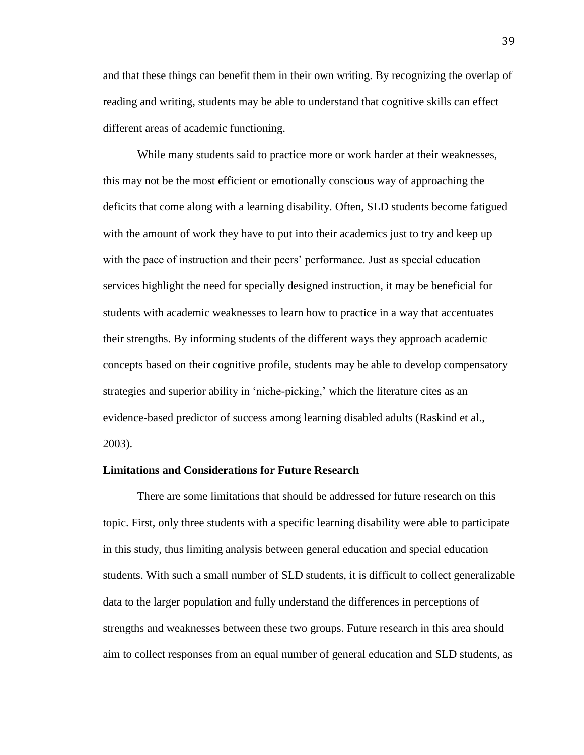and that these things can benefit them in their own writing. By recognizing the overlap of reading and writing, students may be able to understand that cognitive skills can effect different areas of academic functioning.

While many students said to practice more or work harder at their weaknesses, this may not be the most efficient or emotionally conscious way of approaching the deficits that come along with a learning disability. Often, SLD students become fatigued with the amount of work they have to put into their academics just to try and keep up with the pace of instruction and their peers' performance. Just as special education services highlight the need for specially designed instruction, it may be beneficial for students with academic weaknesses to learn how to practice in a way that accentuates their strengths. By informing students of the different ways they approach academic concepts based on their cognitive profile, students may be able to develop compensatory strategies and superior ability in 'niche-picking,' which the literature cites as an evidence-based predictor of success among learning disabled adults (Raskind et al., 2003).

### **Limitations and Considerations for Future Research**

There are some limitations that should be addressed for future research on this topic. First, only three students with a specific learning disability were able to participate in this study, thus limiting analysis between general education and special education students. With such a small number of SLD students, it is difficult to collect generalizable data to the larger population and fully understand the differences in perceptions of strengths and weaknesses between these two groups. Future research in this area should aim to collect responses from an equal number of general education and SLD students, as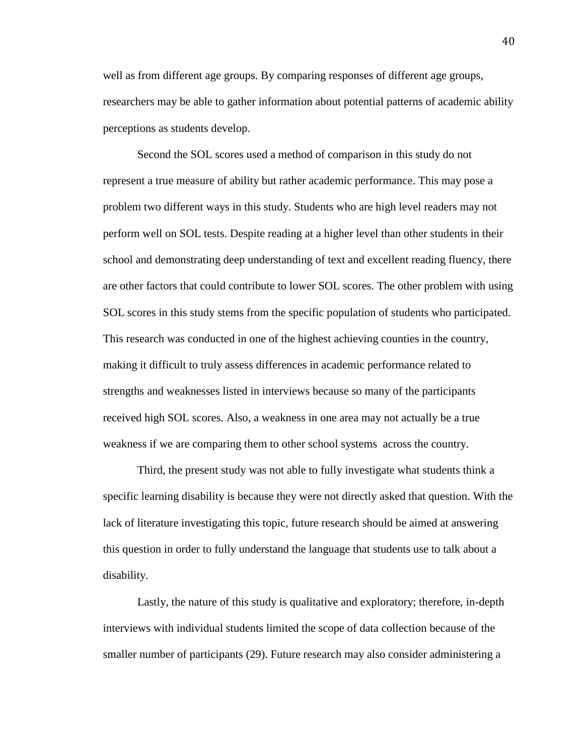well as from different age groups. By comparing responses of different age groups, researchers may be able to gather information about potential patterns of academic ability perceptions as students develop.

Second the SOL scores used a method of comparison in this study do not represent a true measure of ability but rather academic performance. This may pose a problem two different ways in this study. Students who are high level readers may not perform well on SOL tests. Despite reading at a higher level than other students in their school and demonstrating deep understanding of text and excellent reading fluency, there are other factors that could contribute to lower SOL scores. The other problem with using SOL scores in this study stems from the specific population of students who participated. This research was conducted in one of the highest achieving counties in the country, making it difficult to truly assess differences in academic performance related to strengths and weaknesses listed in interviews because so many of the participants received high SOL scores. Also, a weakness in one area may not actually be a true weakness if we are comparing them to other school systems across the country.

Third, the present study was not able to fully investigate what students think a specific learning disability is because they were not directly asked that question. With the lack of literature investigating this topic, future research should be aimed at answering this question in order to fully understand the language that students use to talk about a disability.

Lastly, the nature of this study is qualitative and exploratory; therefore, in-depth interviews with individual students limited the scope of data collection because of the smaller number of participants (29). Future research may also consider administering a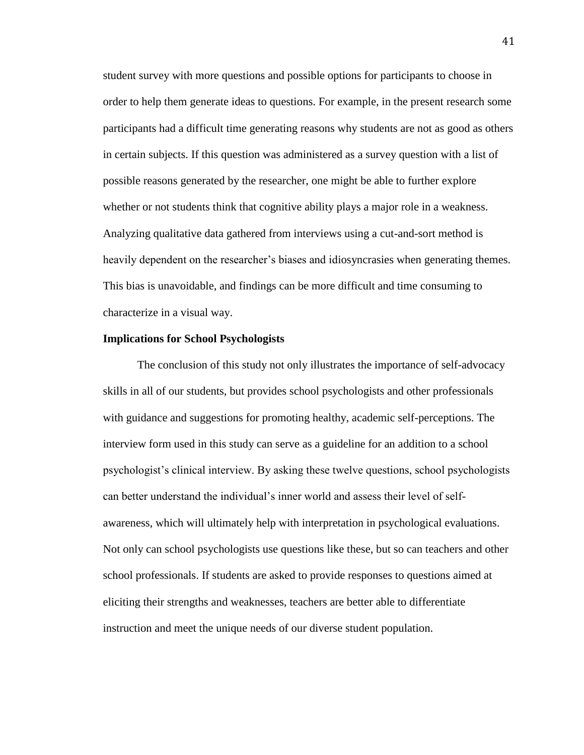student survey with more questions and possible options for participants to choose in order to help them generate ideas to questions. For example, in the present research some participants had a difficult time generating reasons why students are not as good as others in certain subjects. If this question was administered as a survey question with a list of possible reasons generated by the researcher, one might be able to further explore whether or not students think that cognitive ability plays a major role in a weakness. Analyzing qualitative data gathered from interviews using a cut-and-sort method is heavily dependent on the researcher's biases and idiosyncrasies when generating themes. This bias is unavoidable, and findings can be more difficult and time consuming to characterize in a visual way.

#### **Implications for School Psychologists**

The conclusion of this study not only illustrates the importance of self-advocacy skills in all of our students, but provides school psychologists and other professionals with guidance and suggestions for promoting healthy, academic self-perceptions. The interview form used in this study can serve as a guideline for an addition to a school psychologist's clinical interview. By asking these twelve questions, school psychologists can better understand the individual's inner world and assess their level of selfawareness, which will ultimately help with interpretation in psychological evaluations. Not only can school psychologists use questions like these, but so can teachers and other school professionals. If students are asked to provide responses to questions aimed at eliciting their strengths and weaknesses, teachers are better able to differentiate instruction and meet the unique needs of our diverse student population.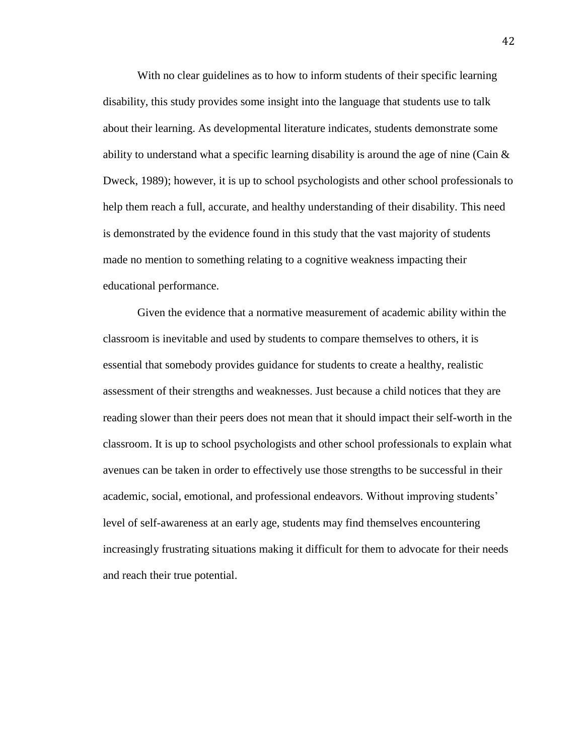With no clear guidelines as to how to inform students of their specific learning disability, this study provides some insight into the language that students use to talk about their learning. As developmental literature indicates, students demonstrate some ability to understand what a specific learning disability is around the age of nine (Cain & Dweck, 1989); however, it is up to school psychologists and other school professionals to help them reach a full, accurate, and healthy understanding of their disability. This need is demonstrated by the evidence found in this study that the vast majority of students made no mention to something relating to a cognitive weakness impacting their educational performance.

Given the evidence that a normative measurement of academic ability within the classroom is inevitable and used by students to compare themselves to others, it is essential that somebody provides guidance for students to create a healthy, realistic assessment of their strengths and weaknesses. Just because a child notices that they are reading slower than their peers does not mean that it should impact their self-worth in the classroom. It is up to school psychologists and other school professionals to explain what avenues can be taken in order to effectively use those strengths to be successful in their academic, social, emotional, and professional endeavors. Without improving students' level of self-awareness at an early age, students may find themselves encountering increasingly frustrating situations making it difficult for them to advocate for their needs and reach their true potential.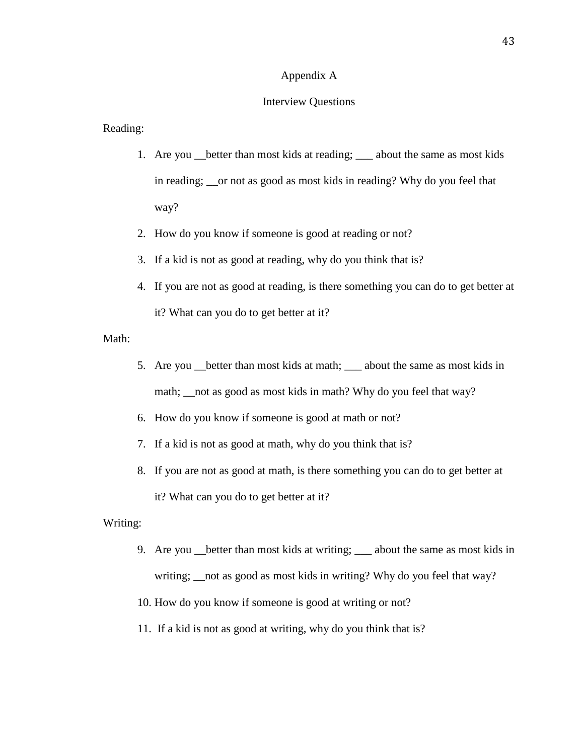## Appendix A

# Interview Questions

## Reading:

- 1. Are you \_\_better than most kids at reading; \_\_\_ about the same as most kids in reading; \_\_or not as good as most kids in reading? Why do you feel that way?
- 2. How do you know if someone is good at reading or not?
- 3. If a kid is not as good at reading, why do you think that is?
- 4. If you are not as good at reading, is there something you can do to get better at it? What can you do to get better at it?

# Math:

- 5. Are you \_\_better than most kids at math; \_\_\_ about the same as most kids in math; \_not as good as most kids in math? Why do you feel that way?
- 6. How do you know if someone is good at math or not?
- 7. If a kid is not as good at math, why do you think that is?
- 8. If you are not as good at math, is there something you can do to get better at it? What can you do to get better at it?

### Writing:

- 9. Are you \_\_better than most kids at writing; \_\_\_ about the same as most kids in writing; \_\_not as good as most kids in writing? Why do you feel that way?
- 10. How do you know if someone is good at writing or not?
- 11. If a kid is not as good at writing, why do you think that is?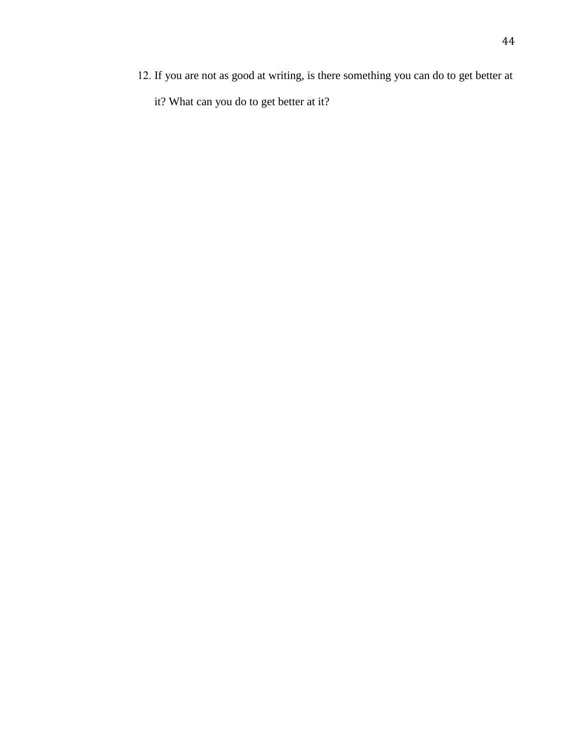12. If you are not as good at writing, is there something you can do to get better at

it? What can you do to get better at it?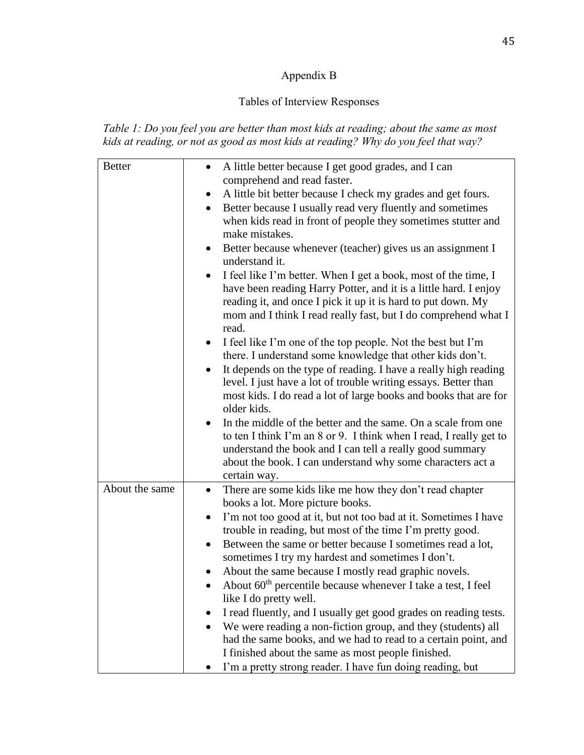# Appendix B

# Tables of Interview Responses

*Table 1: Do you feel you are better than most kids at reading; about the same as most kids at reading, or not as good as most kids at reading? Why do you feel that way?*

| <b>Better</b>  | A little better because I get good grades, and I can<br>comprehend and read faster.<br>A little bit better because I check my grades and get fours.<br>$\bullet$<br>Better because I usually read very fluently and sometimes<br>when kids read in front of people they sometimes stutter and<br>make mistakes.<br>Better because whenever (teacher) gives us an assignment I<br>understand it.<br>I feel like I'm better. When I get a book, most of the time, I<br>have been reading Harry Potter, and it is a little hard. I enjoy<br>reading it, and once I pick it up it is hard to put down. My<br>mom and I think I read really fast, but I do comprehend what I<br>read.<br>I feel like I'm one of the top people. Not the best but I'm<br>$\bullet$<br>there. I understand some knowledge that other kids don't.<br>It depends on the type of reading. I have a really high reading<br>$\bullet$<br>level. I just have a lot of trouble writing essays. Better than<br>most kids. I do read a lot of large books and books that are for<br>older kids.<br>In the middle of the better and the same. On a scale from one<br>to ten I think I'm an 8 or 9. I think when I read, I really get to<br>understand the book and I can tell a really good summary<br>about the book. I can understand why some characters act a |
|----------------|----------------------------------------------------------------------------------------------------------------------------------------------------------------------------------------------------------------------------------------------------------------------------------------------------------------------------------------------------------------------------------------------------------------------------------------------------------------------------------------------------------------------------------------------------------------------------------------------------------------------------------------------------------------------------------------------------------------------------------------------------------------------------------------------------------------------------------------------------------------------------------------------------------------------------------------------------------------------------------------------------------------------------------------------------------------------------------------------------------------------------------------------------------------------------------------------------------------------------------------------------------------------------------------------------------------------------------|
| About the same | certain way.<br>There are some kids like me how they don't read chapter<br>$\bullet$<br>books a lot. More picture books.<br>I'm not too good at it, but not too bad at it. Sometimes I have<br>$\bullet$<br>trouble in reading, but most of the time I'm pretty good.<br>Between the same or better because I sometimes read a lot,<br>sometimes I try my hardest and sometimes I don't.<br>About the same because I mostly read graphic novels.<br>About 60 <sup>th</sup> percentile because whenever I take a test, I feel<br>like I do pretty well.<br>I read fluently, and I usually get good grades on reading tests.<br>We were reading a non-fiction group, and they (students) all<br>had the same books, and we had to read to a certain point, and<br>I finished about the same as most people finished.<br>I'm a pretty strong reader. I have fun doing reading, but                                                                                                                                                                                                                                                                                                                                                                                                                                                  |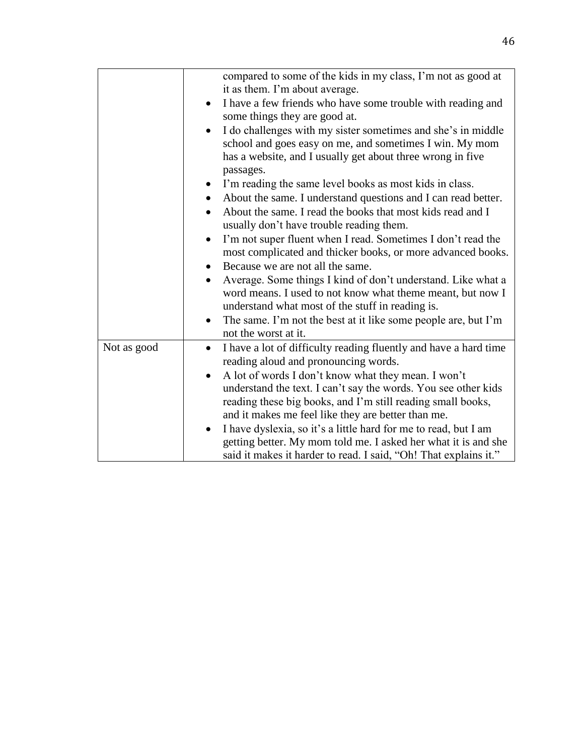|             | compared to some of the kids in my class, I'm not as good at<br>it as them. I'm about average.                                                                                                                  |
|-------------|-----------------------------------------------------------------------------------------------------------------------------------------------------------------------------------------------------------------|
|             | I have a few friends who have some trouble with reading and<br>٠<br>some things they are good at.                                                                                                               |
|             | I do challenges with my sister sometimes and she's in middle<br>$\bullet$<br>school and goes easy on me, and sometimes I win. My mom<br>has a website, and I usually get about three wrong in five<br>passages. |
|             | I'm reading the same level books as most kids in class.<br>$\bullet$<br>About the same. I understand questions and I can read better.<br>$\bullet$                                                              |
|             | About the same. I read the books that most kids read and I<br>usually don't have trouble reading them.                                                                                                          |
|             | I'm not super fluent when I read. Sometimes I don't read the<br>$\bullet$<br>most complicated and thicker books, or more advanced books.                                                                        |
|             | Because we are not all the same.<br>$\bullet$                                                                                                                                                                   |
|             | Average. Some things I kind of don't understand. Like what a<br>٠<br>word means. I used to not know what theme meant, but now I<br>understand what most of the stuff in reading is.                             |
|             | The same. I'm not the best at it like some people are, but I'm<br>٠<br>not the worst at it.                                                                                                                     |
| Not as good | I have a lot of difficulty reading fluently and have a hard time<br>٠<br>reading aloud and pronouncing words.                                                                                                   |
|             | A lot of words I don't know what they mean. I won't<br>$\bullet$                                                                                                                                                |
|             | understand the text. I can't say the words. You see other kids<br>reading these big books, and I'm still reading small books,<br>and it makes me feel like they are better than me.                             |
|             | I have dyslexia, so it's a little hard for me to read, but I am<br>getting better. My mom told me. I asked her what it is and she<br>said it makes it harder to read. I said, "Oh! That explains it."           |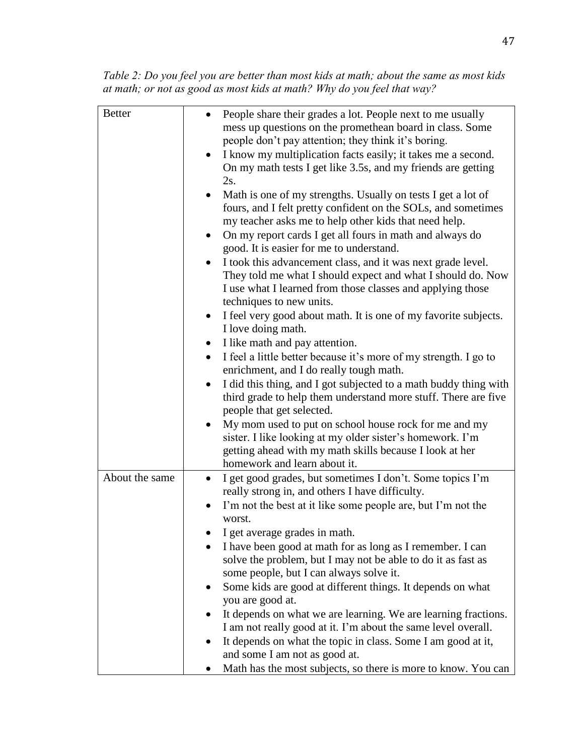Better • People share their grades a lot. People next to me usually mess up questions on the promethean board in class. Some people don't pay attention; they think it's boring. • I know my multiplication facts easily; it takes me a second. On my math tests I get like 3.5s, and my friends are getting 2s. • Math is one of my strengths. Usually on tests I get a lot of fours, and I felt pretty confident on the SOLs, and sometimes my teacher asks me to help other kids that need help. • On my report cards I get all fours in math and always do good. It is easier for me to understand. I took this advancement class, and it was next grade level. They told me what I should expect and what I should do. Now I use what I learned from those classes and applying those techniques to new units. • I feel very good about math. It is one of my favorite subjects. I love doing math. • I like math and pay attention. • I feel a little better because it's more of my strength. I go to enrichment, and I do really tough math. • I did this thing, and I got subjected to a math buddy thing with third grade to help them understand more stuff. There are five people that get selected. • My mom used to put on school house rock for me and my sister. I like looking at my older sister's homework. I'm getting ahead with my math skills because I look at her homework and learn about it. About the same  $\parallel \cdot \cdot \cdot$  I get good grades, but sometimes I don't. Some topics I'm really strong in, and others I have difficulty. • I'm not the best at it like some people are, but I'm not the worst. I get average grades in math. • I have been good at math for as long as I remember. I can solve the problem, but I may not be able to do it as fast as some people, but I can always solve it. • Some kids are good at different things. It depends on what you are good at. • It depends on what we are learning. We are learning fractions. I am not really good at it. I'm about the same level overall. • It depends on what the topic in class. Some I am good at it, and some I am not as good at. • Math has the most subjects, so there is more to know. You can

*Table 2: Do you feel you are better than most kids at math; about the same as most kids at math; or not as good as most kids at math? Why do you feel that way?*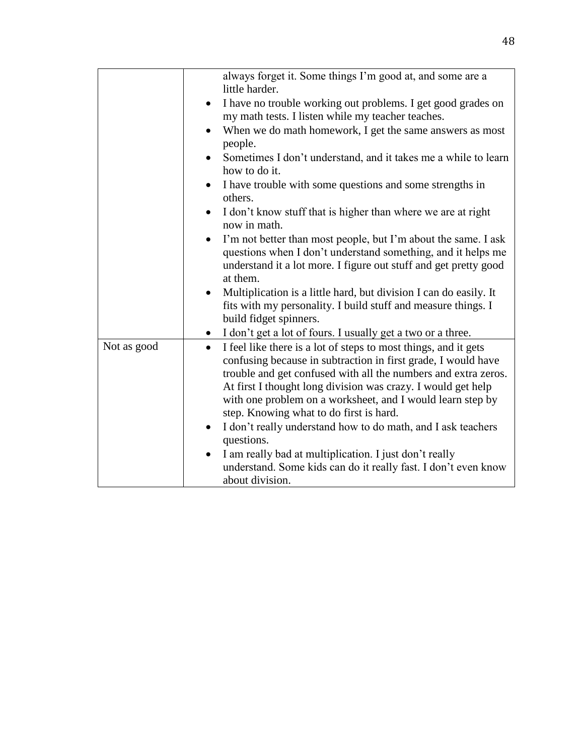|             | always forget it. Some things I'm good at, and some are a<br>little harder.                                                                                                                                                                                                                                                                                                              |
|-------------|------------------------------------------------------------------------------------------------------------------------------------------------------------------------------------------------------------------------------------------------------------------------------------------------------------------------------------------------------------------------------------------|
|             | I have no trouble working out problems. I get good grades on<br>my math tests. I listen while my teacher teaches.                                                                                                                                                                                                                                                                        |
|             | When we do math homework, I get the same answers as most<br>people.                                                                                                                                                                                                                                                                                                                      |
|             | Sometimes I don't understand, and it takes me a while to learn<br>$\bullet$<br>how to do it.                                                                                                                                                                                                                                                                                             |
|             | I have trouble with some questions and some strengths in<br>others.                                                                                                                                                                                                                                                                                                                      |
|             | I don't know stuff that is higher than where we are at right<br>$\bullet$<br>now in math.                                                                                                                                                                                                                                                                                                |
|             | I'm not better than most people, but I'm about the same. I ask<br>$\bullet$<br>questions when I don't understand something, and it helps me<br>understand it a lot more. I figure out stuff and get pretty good<br>at them.                                                                                                                                                              |
|             | Multiplication is a little hard, but division I can do easily. It<br>fits with my personality. I build stuff and measure things. I<br>build fidget spinners.                                                                                                                                                                                                                             |
|             | I don't get a lot of fours. I usually get a two or a three.<br>$\bullet$                                                                                                                                                                                                                                                                                                                 |
| Not as good | I feel like there is a lot of steps to most things, and it gets<br>$\bullet$<br>confusing because in subtraction in first grade, I would have<br>trouble and get confused with all the numbers and extra zeros.<br>At first I thought long division was crazy. I would get help<br>with one problem on a worksheet, and I would learn step by<br>step. Knowing what to do first is hard. |
|             | I don't really understand how to do math, and I ask teachers<br>questions.                                                                                                                                                                                                                                                                                                               |
|             | I am really bad at multiplication. I just don't really<br>understand. Some kids can do it really fast. I don't even know<br>about division.                                                                                                                                                                                                                                              |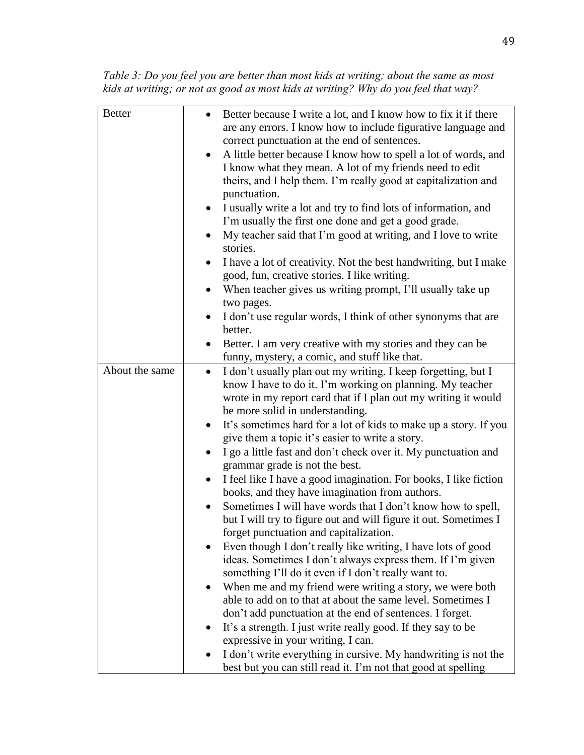*Table 3: Do you feel you are better than most kids at writing; about the same as most kids at writing; or not as good as most kids at writing? Why do you feel that way?*

| <b>Better</b>  | Better because I write a lot, and I know how to fix it if there<br>$\bullet$  |
|----------------|-------------------------------------------------------------------------------|
|                | are any errors. I know how to include figurative language and                 |
|                | correct punctuation at the end of sentences.                                  |
|                | A little better because I know how to spell a lot of words, and<br>$\bullet$  |
|                | I know what they mean. A lot of my friends need to edit                       |
|                | theirs, and I help them. I'm really good at capitalization and                |
|                | punctuation.                                                                  |
|                | I usually write a lot and try to find lots of information, and                |
|                | I'm usually the first one done and get a good grade.                          |
|                | My teacher said that I'm good at writing, and I love to write<br>$\bullet$    |
|                | stories.                                                                      |
|                | I have a lot of creativity. Not the best handwriting, but I make<br>$\bullet$ |
|                | good, fun, creative stories. I like writing.                                  |
|                | When teacher gives us writing prompt, I'll usually take up                    |
|                | two pages.                                                                    |
|                | I don't use regular words, I think of other synonyms that are                 |
|                | better.                                                                       |
|                | Better. I am very creative with my stories and they can be<br>$\bullet$       |
|                | funny, mystery, a comic, and stuff like that.                                 |
| About the same | I don't usually plan out my writing. I keep forgetting, but I<br>$\bullet$    |
|                | know I have to do it. I'm working on planning. My teacher                     |
|                | wrote in my report card that if I plan out my writing it would                |
|                | be more solid in understanding.                                               |
|                | It's sometimes hard for a lot of kids to make up a story. If you<br>$\bullet$ |
|                | give them a topic it's easier to write a story.                               |
|                | I go a little fast and don't check over it. My punctuation and                |
|                | grammar grade is not the best.                                                |
|                | I feel like I have a good imagination. For books, I like fiction              |
|                | books, and they have imagination from authors.                                |
|                | Sometimes I will have words that I don't know how to spell,                   |
|                | but I will try to figure out and will figure it out. Sometimes I              |
|                | forget punctuation and capitalization.                                        |
|                | Even though I don't really like writing, I have lots of good                  |
|                | ideas. Sometimes I don't always express them. If I'm given                    |
|                | something I'll do it even if I don't really want to.                          |
|                | When me and my friend were writing a story, we were both<br>٠                 |
|                | able to add on to that at about the same level. Sometimes I                   |
|                | don't add punctuation at the end of sentences. I forget.                      |
|                | It's a strength. I just write really good. If they say to be                  |
|                | expressive in your writing, I can.                                            |
|                | I don't write everything in cursive. My handwriting is not the                |
|                | best but you can still read it. I'm not that good at spelling                 |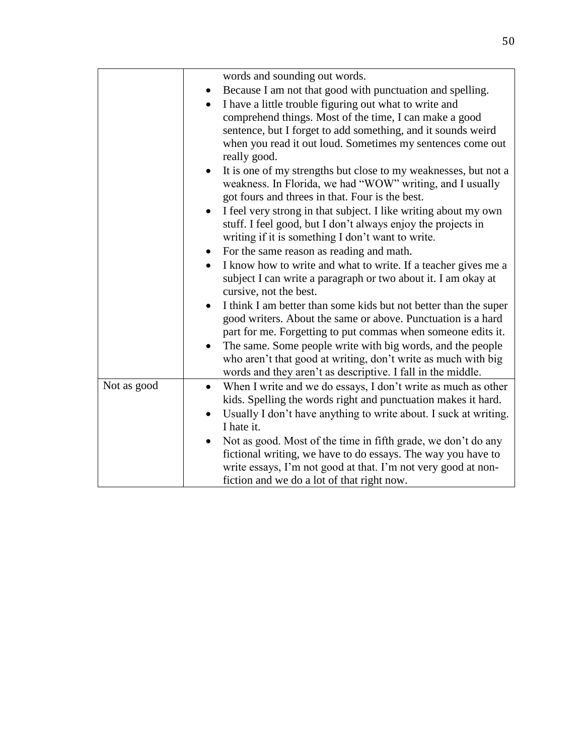|                          | words and sounding out words.                                                                                                                                                              |
|--------------------------|--------------------------------------------------------------------------------------------------------------------------------------------------------------------------------------------|
|                          | Because I am not that good with punctuation and spelling.                                                                                                                                  |
|                          | I have a little trouble figuring out what to write and                                                                                                                                     |
|                          | comprehend things. Most of the time, I can make a good                                                                                                                                     |
|                          | sentence, but I forget to add something, and it sounds weird                                                                                                                               |
|                          | when you read it out loud. Sometimes my sentences come out<br>really good.                                                                                                                 |
|                          | It is one of my strengths but close to my weaknesses, but not a                                                                                                                            |
|                          | weakness. In Florida, we had "WOW" writing, and I usually<br>got fours and threes in that. Four is the best.                                                                               |
| $\bullet$                | I feel very strong in that subject. I like writing about my own<br>stuff. I feel good, but I don't always enjoy the projects in<br>writing if it is something I don't want to write.       |
| $\bullet$                | For the same reason as reading and math.                                                                                                                                                   |
|                          | I know how to write and what to write. If a teacher gives me a                                                                                                                             |
|                          | subject I can write a paragraph or two about it. I am okay at<br>cursive, not the best.                                                                                                    |
| $\bullet$                | I think I am better than some kids but not better than the super<br>good writers. About the same or above. Punctuation is a hard                                                           |
|                          | part for me. Forgetting to put commas when someone edits it.                                                                                                                               |
| $\bullet$                | The same. Some people write with big words, and the people<br>who aren't that good at writing, don't write as much with big<br>words and they aren't as descriptive. I fall in the middle. |
| Not as good<br>$\bullet$ | When I write and we do essays, I don't write as much as other                                                                                                                              |
|                          | kids. Spelling the words right and punctuation makes it hard.                                                                                                                              |
|                          | Usually I don't have anything to write about. I suck at writing.                                                                                                                           |
|                          | I hate it.                                                                                                                                                                                 |
| $\bullet$                | Not as good. Most of the time in fifth grade, we don't do any                                                                                                                              |
|                          | fictional writing, we have to do essays. The way you have to                                                                                                                               |
|                          | write essays, I'm not good at that. I'm not very good at non-                                                                                                                              |
|                          | fiction and we do a lot of that right now.                                                                                                                                                 |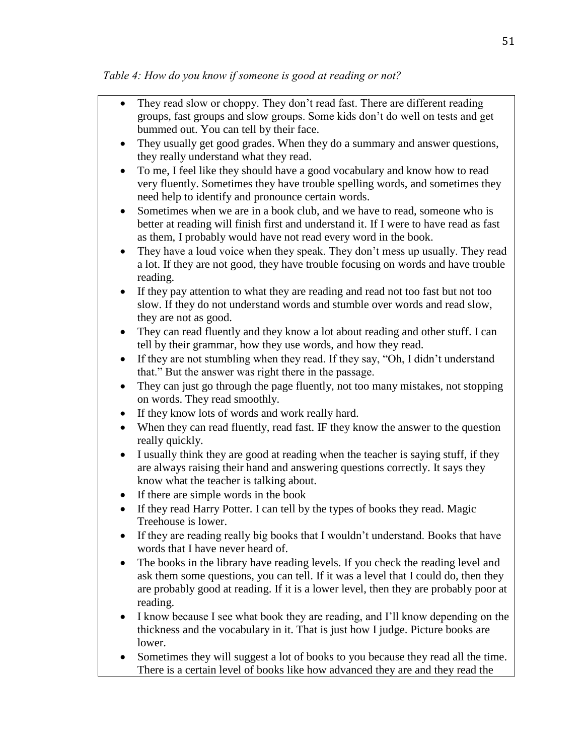*Table 4: How do you know if someone is good at reading or not?*

- They read slow or choppy. They don't read fast. There are different reading groups, fast groups and slow groups. Some kids don't do well on tests and get bummed out. You can tell by their face.
- They usually get good grades. When they do a summary and answer questions, they really understand what they read.
- To me, I feel like they should have a good vocabulary and know how to read very fluently. Sometimes they have trouble spelling words, and sometimes they need help to identify and pronounce certain words.
- Sometimes when we are in a book club, and we have to read, someone who is better at reading will finish first and understand it. If I were to have read as fast as them, I probably would have not read every word in the book.
- They have a loud voice when they speak. They don't mess up usually. They read a lot. If they are not good, they have trouble focusing on words and have trouble reading.
- If they pay attention to what they are reading and read not too fast but not too slow. If they do not understand words and stumble over words and read slow, they are not as good.
- They can read fluently and they know a lot about reading and other stuff. I can tell by their grammar, how they use words, and how they read.
- If they are not stumbling when they read. If they say, "Oh, I didn't understand that." But the answer was right there in the passage.
- They can just go through the page fluently, not too many mistakes, not stopping on words. They read smoothly.
- If they know lots of words and work really hard.
- When they can read fluently, read fast. IF they know the answer to the question really quickly.
- I usually think they are good at reading when the teacher is saying stuff, if they are always raising their hand and answering questions correctly. It says they know what the teacher is talking about.
- If there are simple words in the book
- If they read Harry Potter. I can tell by the types of books they read. Magic Treehouse is lower.
- If they are reading really big books that I wouldn't understand. Books that have words that I have never heard of.
- The books in the library have reading levels. If you check the reading level and ask them some questions, you can tell. If it was a level that I could do, then they are probably good at reading. If it is a lower level, then they are probably poor at reading.
- I know because I see what book they are reading, and I'll know depending on the thickness and the vocabulary in it. That is just how I judge. Picture books are lower.
- Sometimes they will suggest a lot of books to you because they read all the time. There is a certain level of books like how advanced they are and they read the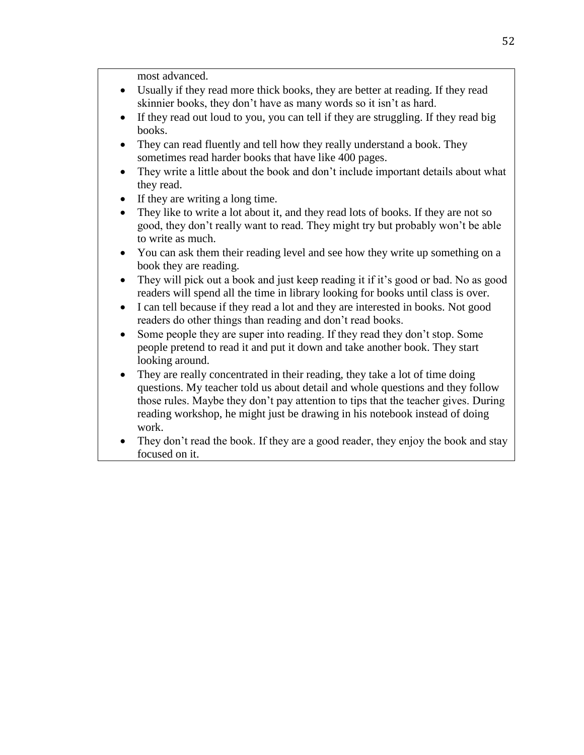most advanced.

- Usually if they read more thick books, they are better at reading. If they read skinnier books, they don't have as many words so it isn't as hard.
- If they read out loud to you, you can tell if they are struggling. If they read big books.
- They can read fluently and tell how they really understand a book. They sometimes read harder books that have like 400 pages.
- They write a little about the book and don't include important details about what they read.
- If they are writing a long time.
- They like to write a lot about it, and they read lots of books. If they are not so good, they don't really want to read. They might try but probably won't be able to write as much.
- You can ask them their reading level and see how they write up something on a book they are reading.
- They will pick out a book and just keep reading it if it's good or bad. No as good readers will spend all the time in library looking for books until class is over.
- I can tell because if they read a lot and they are interested in books. Not good readers do other things than reading and don't read books.
- Some people they are super into reading. If they read they don't stop. Some people pretend to read it and put it down and take another book. They start looking around.
- They are really concentrated in their reading, they take a lot of time doing questions. My teacher told us about detail and whole questions and they follow those rules. Maybe they don't pay attention to tips that the teacher gives. During reading workshop, he might just be drawing in his notebook instead of doing work.
- They don't read the book. If they are a good reader, they enjoy the book and stay focused on it.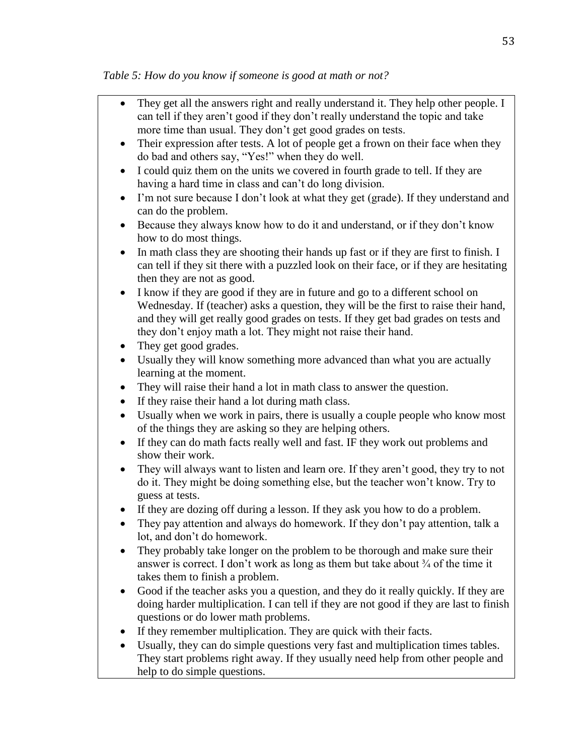*Table 5: How do you know if someone is good at math or not?*

- They get all the answers right and really understand it. They help other people. I can tell if they aren't good if they don't really understand the topic and take more time than usual. They don't get good grades on tests.
- Their expression after tests. A lot of people get a frown on their face when they do bad and others say, "Yes!" when they do well.
- I could quiz them on the units we covered in fourth grade to tell. If they are having a hard time in class and can't do long division.
- I'm not sure because I don't look at what they get (grade). If they understand and can do the problem.
- Because they always know how to do it and understand, or if they don't know how to do most things.
- In math class they are shooting their hands up fast or if they are first to finish. I can tell if they sit there with a puzzled look on their face, or if they are hesitating then they are not as good.
- I know if they are good if they are in future and go to a different school on Wednesday. If (teacher) asks a question, they will be the first to raise their hand, and they will get really good grades on tests. If they get bad grades on tests and they don't enjoy math a lot. They might not raise their hand.
- They get good grades.
- Usually they will know something more advanced than what you are actually learning at the moment.
- They will raise their hand a lot in math class to answer the question.
- If they raise their hand a lot during math class.
- Usually when we work in pairs, there is usually a couple people who know most of the things they are asking so they are helping others.
- If they can do math facts really well and fast. IF they work out problems and show their work.
- They will always want to listen and learn ore. If they aren't good, they try to not do it. They might be doing something else, but the teacher won't know. Try to guess at tests.
- If they are dozing off during a lesson. If they ask you how to do a problem.
- They pay attention and always do homework. If they don't pay attention, talk a lot, and don't do homework.
- They probably take longer on the problem to be thorough and make sure their answer is correct. I don't work as long as them but take about  $\frac{3}{4}$  of the time it takes them to finish a problem.
- Good if the teacher asks you a question, and they do it really quickly. If they are doing harder multiplication. I can tell if they are not good if they are last to finish questions or do lower math problems.
- If they remember multiplication. They are quick with their facts.
- Usually, they can do simple questions very fast and multiplication times tables. They start problems right away. If they usually need help from other people and help to do simple questions.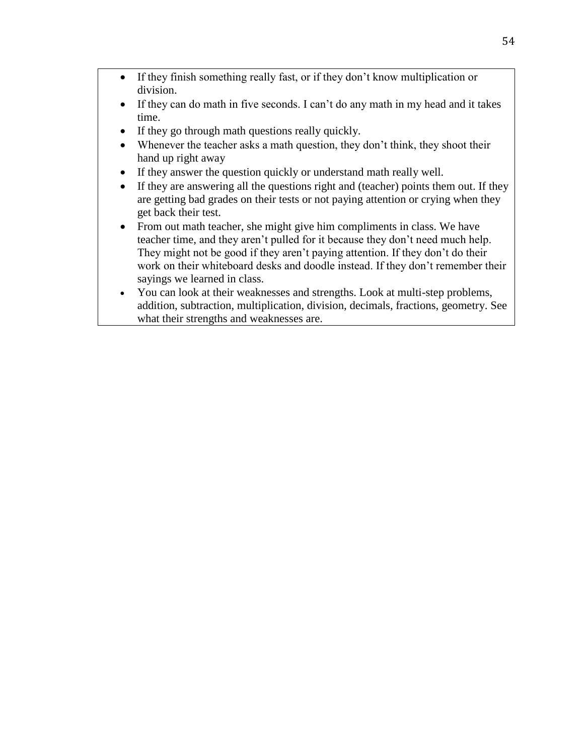- If they finish something really fast, or if they don't know multiplication or division.
- If they can do math in five seconds. I can't do any math in my head and it takes time.
- If they go through math questions really quickly.
- Whenever the teacher asks a math question, they don't think, they shoot their hand up right away
- If they answer the question quickly or understand math really well.
- If they are answering all the questions right and (teacher) points them out. If they are getting bad grades on their tests or not paying attention or crying when they get back their test.
- From out math teacher, she might give him compliments in class. We have teacher time, and they aren't pulled for it because they don't need much help. They might not be good if they aren't paying attention. If they don't do their work on their whiteboard desks and doodle instead. If they don't remember their sayings we learned in class.
- You can look at their weaknesses and strengths. Look at multi-step problems, addition, subtraction, multiplication, division, decimals, fractions, geometry. See what their strengths and weaknesses are.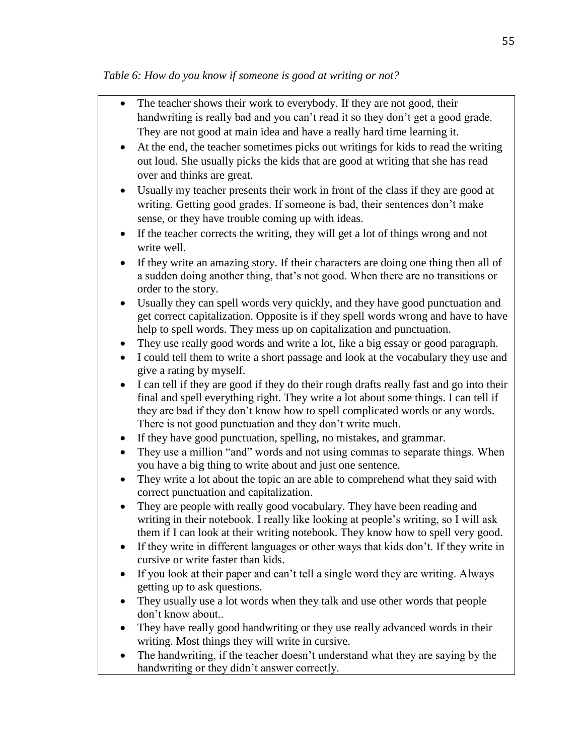*Table 6: How do you know if someone is good at writing or not?*

- The teacher shows their work to everybody. If they are not good, their handwriting is really bad and you can't read it so they don't get a good grade. They are not good at main idea and have a really hard time learning it.
- At the end, the teacher sometimes picks out writings for kids to read the writing out loud. She usually picks the kids that are good at writing that she has read over and thinks are great.
- Usually my teacher presents their work in front of the class if they are good at writing. Getting good grades. If someone is bad, their sentences don't make sense, or they have trouble coming up with ideas.
- If the teacher corrects the writing, they will get a lot of things wrong and not write well.
- If they write an amazing story. If their characters are doing one thing then all of a sudden doing another thing, that's not good. When there are no transitions or order to the story.
- Usually they can spell words very quickly, and they have good punctuation and get correct capitalization. Opposite is if they spell words wrong and have to have help to spell words. They mess up on capitalization and punctuation.
- They use really good words and write a lot, like a big essay or good paragraph.
- I could tell them to write a short passage and look at the vocabulary they use and give a rating by myself.
- I can tell if they are good if they do their rough drafts really fast and go into their final and spell everything right. They write a lot about some things. I can tell if they are bad if they don't know how to spell complicated words or any words. There is not good punctuation and they don't write much.
- If they have good punctuation, spelling, no mistakes, and grammar.
- They use a million "and" words and not using commas to separate things. When you have a big thing to write about and just one sentence.
- They write a lot about the topic an are able to comprehend what they said with correct punctuation and capitalization.
- They are people with really good vocabulary. They have been reading and writing in their notebook. I really like looking at people's writing, so I will ask them if I can look at their writing notebook. They know how to spell very good.
- If they write in different languages or other ways that kids don't. If they write in cursive or write faster than kids.
- If you look at their paper and can't tell a single word they are writing. Always getting up to ask questions.
- They usually use a lot words when they talk and use other words that people don't know about..
- They have really good handwriting or they use really advanced words in their writing. Most things they will write in cursive.
- The handwriting, if the teacher doesn't understand what they are saying by the handwriting or they didn't answer correctly.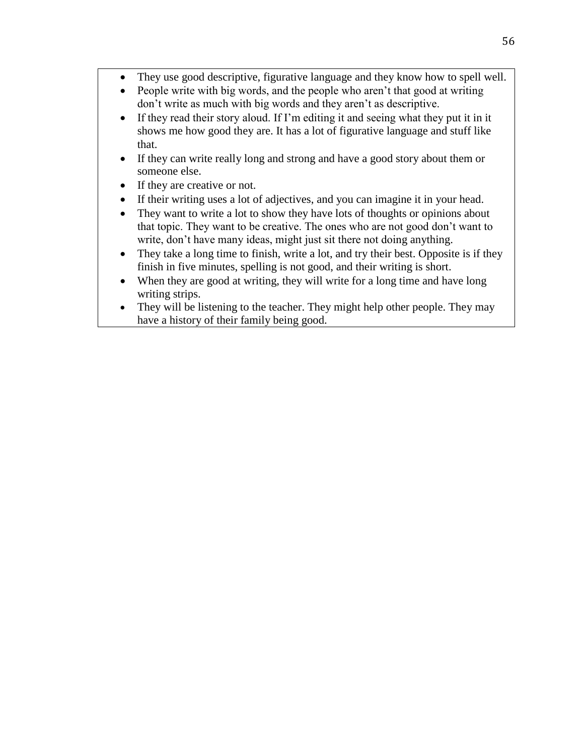- They use good descriptive, figurative language and they know how to spell well.
- People write with big words, and the people who aren't that good at writing don't write as much with big words and they aren't as descriptive.
- If they read their story aloud. If I'm editing it and seeing what they put it in it shows me how good they are. It has a lot of figurative language and stuff like that.
- If they can write really long and strong and have a good story about them or someone else.
- If they are creative or not.
- If their writing uses a lot of adjectives, and you can imagine it in your head.
- They want to write a lot to show they have lots of thoughts or opinions about that topic. They want to be creative. The ones who are not good don't want to write, don't have many ideas, might just sit there not doing anything.
- They take a long time to finish, write a lot, and try their best. Opposite is if they finish in five minutes, spelling is not good, and their writing is short.
- When they are good at writing, they will write for a long time and have long writing strips.
- They will be listening to the teacher. They might help other people. They may have a history of their family being good.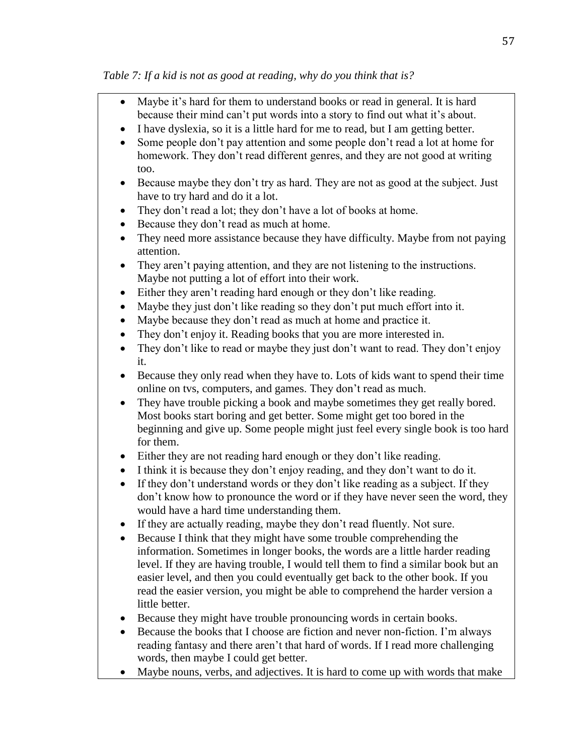*Table 7: If a kid is not as good at reading, why do you think that is?*

- Maybe it's hard for them to understand books or read in general. It is hard because their mind can't put words into a story to find out what it's about.
- I have dyslexia, so it is a little hard for me to read, but I am getting better.
- Some people don't pay attention and some people don't read a lot at home for homework. They don't read different genres, and they are not good at writing too.
- Because maybe they don't try as hard. They are not as good at the subject. Just have to try hard and do it a lot.
- They don't read a lot; they don't have a lot of books at home.
- Because they don't read as much at home.
- They need more assistance because they have difficulty. Maybe from not paying attention.
- They aren't paying attention, and they are not listening to the instructions. Maybe not putting a lot of effort into their work.
- Either they aren't reading hard enough or they don't like reading.
- Maybe they just don't like reading so they don't put much effort into it.
- Maybe because they don't read as much at home and practice it.
- They don't enjoy it. Reading books that you are more interested in.
- They don't like to read or maybe they just don't want to read. They don't enjoy it.
- Because they only read when they have to. Lots of kids want to spend their time online on tvs, computers, and games. They don't read as much.
- They have trouble picking a book and maybe sometimes they get really bored. Most books start boring and get better. Some might get too bored in the beginning and give up. Some people might just feel every single book is too hard for them.
- Either they are not reading hard enough or they don't like reading.
- I think it is because they don't enjoy reading, and they don't want to do it.
- If they don't understand words or they don't like reading as a subject. If they don't know how to pronounce the word or if they have never seen the word, they would have a hard time understanding them.
- If they are actually reading, maybe they don't read fluently. Not sure.
- Because I think that they might have some trouble comprehending the information. Sometimes in longer books, the words are a little harder reading level. If they are having trouble, I would tell them to find a similar book but an easier level, and then you could eventually get back to the other book. If you read the easier version, you might be able to comprehend the harder version a little better.
- Because they might have trouble pronouncing words in certain books.
- Because the books that I choose are fiction and never non-fiction. I'm always reading fantasy and there aren't that hard of words. If I read more challenging words, then maybe I could get better.
- Maybe nouns, verbs, and adjectives. It is hard to come up with words that make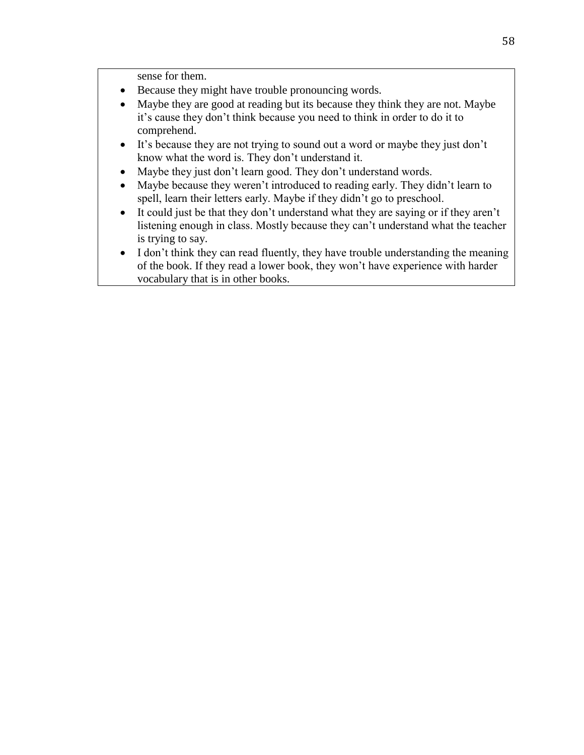sense for them.

- Because they might have trouble pronouncing words.
- Maybe they are good at reading but its because they think they are not. Maybe it's cause they don't think because you need to think in order to do it to comprehend.
- It's because they are not trying to sound out a word or maybe they just don't know what the word is. They don't understand it.
- Maybe they just don't learn good. They don't understand words.
- Maybe because they weren't introduced to reading early. They didn't learn to spell, learn their letters early. Maybe if they didn't go to preschool.
- It could just be that they don't understand what they are saying or if they aren't listening enough in class. Mostly because they can't understand what the teacher is trying to say.
- I don't think they can read fluently, they have trouble understanding the meaning of the book. If they read a lower book, they won't have experience with harder vocabulary that is in other books.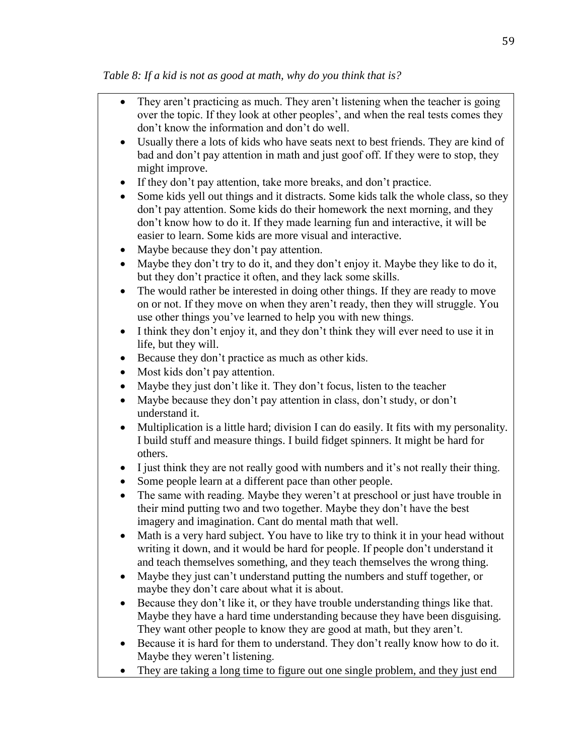*Table 8: If a kid is not as good at math, why do you think that is?*

- They aren't practicing as much. They aren't listening when the teacher is going over the topic. If they look at other peoples', and when the real tests comes they don't know the information and don't do well.
- Usually there a lots of kids who have seats next to best friends. They are kind of bad and don't pay attention in math and just goof off. If they were to stop, they might improve.
- If they don't pay attention, take more breaks, and don't practice.
- Some kids yell out things and it distracts. Some kids talk the whole class, so they don't pay attention. Some kids do their homework the next morning, and they don't know how to do it. If they made learning fun and interactive, it will be easier to learn. Some kids are more visual and interactive.
- Maybe because they don't pay attention.
- Maybe they don't try to do it, and they don't enjoy it. Maybe they like to do it, but they don't practice it often, and they lack some skills.
- The would rather be interested in doing other things. If they are ready to move on or not. If they move on when they aren't ready, then they will struggle. You use other things you've learned to help you with new things.
- I think they don't enjoy it, and they don't think they will ever need to use it in life, but they will.
- Because they don't practice as much as other kids.
- Most kids don't pay attention.
- Maybe they just don't like it. They don't focus, listen to the teacher
- Maybe because they don't pay attention in class, don't study, or don't understand it.
- Multiplication is a little hard; division I can do easily. It fits with my personality. I build stuff and measure things. I build fidget spinners. It might be hard for others.
- I just think they are not really good with numbers and it's not really their thing.
- Some people learn at a different pace than other people.
- The same with reading. Maybe they weren't at preschool or just have trouble in their mind putting two and two together. Maybe they don't have the best imagery and imagination. Cant do mental math that well.
- Math is a very hard subject. You have to like try to think it in your head without writing it down, and it would be hard for people. If people don't understand it and teach themselves something, and they teach themselves the wrong thing.
- Maybe they just can't understand putting the numbers and stuff together, or maybe they don't care about what it is about.
- Because they don't like it, or they have trouble understanding things like that. Maybe they have a hard time understanding because they have been disguising. They want other people to know they are good at math, but they aren't.
- Because it is hard for them to understand. They don't really know how to do it. Maybe they weren't listening.
- They are taking a long time to figure out one single problem, and they just end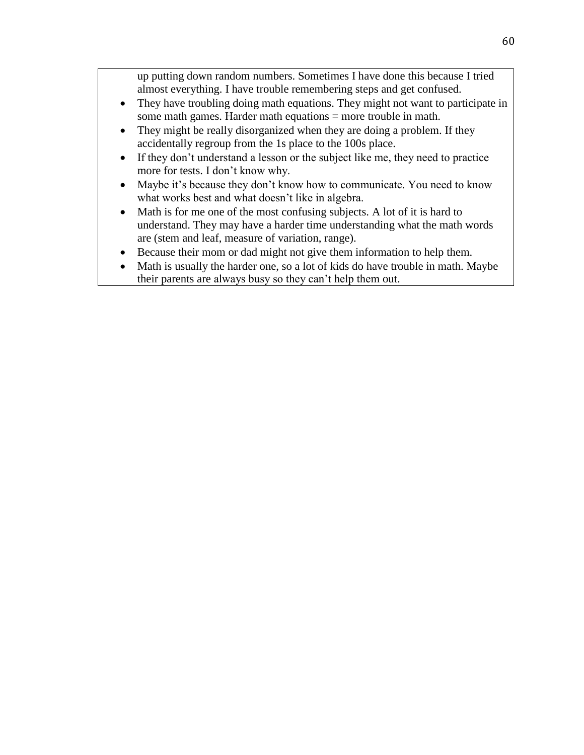up putting down random numbers. Sometimes I have done this because I tried almost everything. I have trouble remembering steps and get confused. • They have troubling doing math equations. They might not want to participate in some math games. Harder math equations = more trouble in math. • They might be really disorganized when they are doing a problem. If they accidentally regroup from the 1s place to the 100s place. • If they don't understand a lesson or the subject like me, they need to practice more for tests. I don't know why. • Maybe it's because they don't know how to communicate. You need to know what works best and what doesn't like in algebra. • Math is for me one of the most confusing subjects. A lot of it is hard to understand. They may have a harder time understanding what the math words are (stem and leaf, measure of variation, range).

- Because their mom or dad might not give them information to help them.
- Math is usually the harder one, so a lot of kids do have trouble in math. Maybe their parents are always busy so they can't help them out.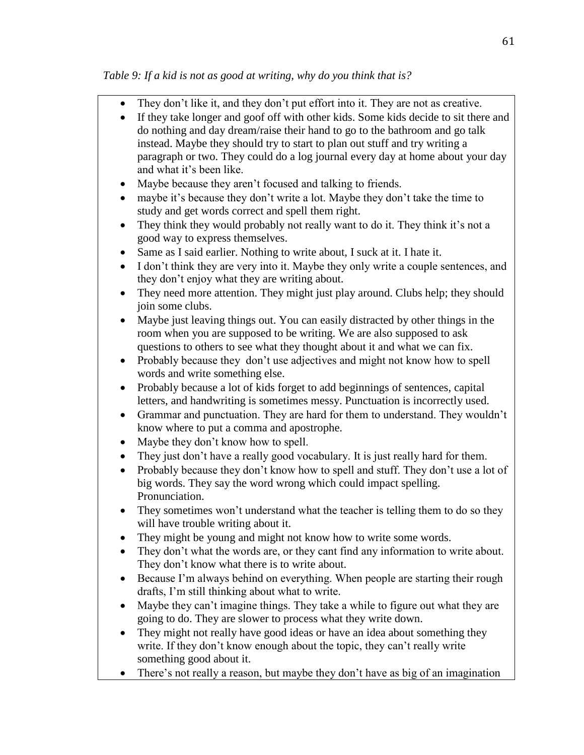- They don't like it, and they don't put effort into it. They are not as creative.
- If they take longer and goof off with other kids. Some kids decide to sit there and do nothing and day dream/raise their hand to go to the bathroom and go talk instead. Maybe they should try to start to plan out stuff and try writing a paragraph or two. They could do a log journal every day at home about your day and what it's been like.
- Maybe because they aren't focused and talking to friends.
- maybe it's because they don't write a lot. Maybe they don't take the time to study and get words correct and spell them right.
- They think they would probably not really want to do it. They think it's not a good way to express themselves.
- Same as I said earlier. Nothing to write about, I suck at it. I hate it.
- I don't think they are very into it. Maybe they only write a couple sentences, and they don't enjoy what they are writing about.
- They need more attention. They might just play around. Clubs help; they should join some clubs.
- Maybe just leaving things out. You can easily distracted by other things in the room when you are supposed to be writing. We are also supposed to ask questions to others to see what they thought about it and what we can fix.
- Probably because they don't use adjectives and might not know how to spell words and write something else.
- Probably because a lot of kids forget to add beginnings of sentences, capital letters, and handwriting is sometimes messy. Punctuation is incorrectly used.
- Grammar and punctuation. They are hard for them to understand. They wouldn't know where to put a comma and apostrophe.
- Maybe they don't know how to spell.
- They just don't have a really good vocabulary. It is just really hard for them.
- Probably because they don't know how to spell and stuff. They don't use a lot of big words. They say the word wrong which could impact spelling. Pronunciation.
- They sometimes won't understand what the teacher is telling them to do so they will have trouble writing about it.
- They might be young and might not know how to write some words.
- They don't what the words are, or they cant find any information to write about. They don't know what there is to write about.
- Because I'm always behind on everything. When people are starting their rough drafts, I'm still thinking about what to write.
- Maybe they can't imagine things. They take a while to figure out what they are going to do. They are slower to process what they write down.
- They might not really have good ideas or have an idea about something they write. If they don't know enough about the topic, they can't really write something good about it.
- There's not really a reason, but maybe they don't have as big of an imagination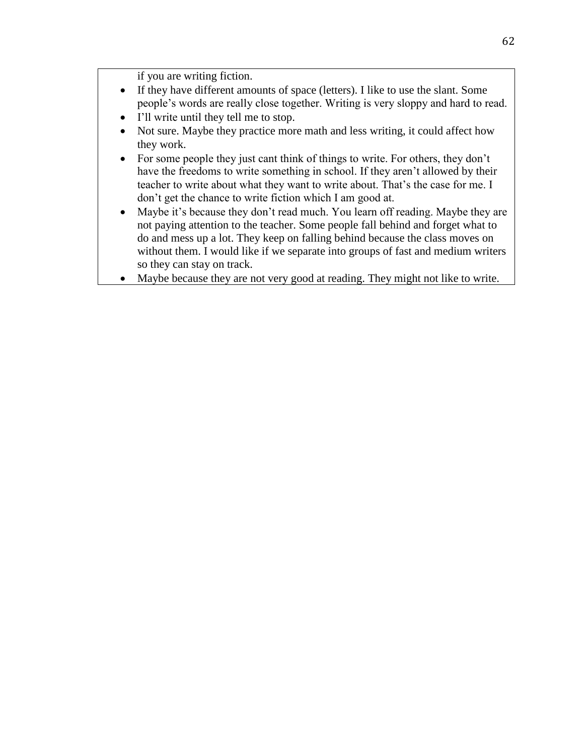if you are writing fiction.

- If they have different amounts of space (letters). I like to use the slant. Some people's words are really close together. Writing is very sloppy and hard to read.
- I'll write until they tell me to stop.
- Not sure. Maybe they practice more math and less writing, it could affect how they work.
- For some people they just cant think of things to write. For others, they don't have the freedoms to write something in school. If they aren't allowed by their teacher to write about what they want to write about. That's the case for me. I don't get the chance to write fiction which I am good at.
- Maybe it's because they don't read much. You learn off reading. Maybe they are not paying attention to the teacher. Some people fall behind and forget what to do and mess up a lot. They keep on falling behind because the class moves on without them. I would like if we separate into groups of fast and medium writers so they can stay on track.
- Maybe because they are not very good at reading. They might not like to write.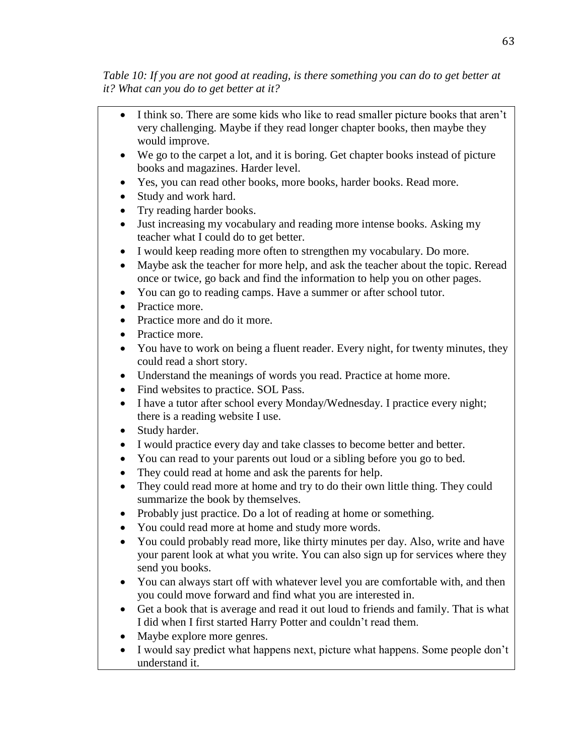*Table 10: If you are not good at reading, is there something you can do to get better at it? What can you do to get better at it?*

- I think so. There are some kids who like to read smaller picture books that aren't very challenging. Maybe if they read longer chapter books, then maybe they would improve.
- We go to the carpet a lot, and it is boring. Get chapter books instead of picture books and magazines. Harder level.
- Yes, you can read other books, more books, harder books. Read more.
- Study and work hard.
- Try reading harder books.
- Just increasing my vocabulary and reading more intense books. Asking my teacher what I could do to get better.
- I would keep reading more often to strengthen my vocabulary. Do more.
- Maybe ask the teacher for more help, and ask the teacher about the topic. Reread once or twice, go back and find the information to help you on other pages.
- You can go to reading camps. Have a summer or after school tutor.
- Practice more.
- Practice more and do it more.
- Practice more.
- You have to work on being a fluent reader. Every night, for twenty minutes, they could read a short story.
- Understand the meanings of words you read. Practice at home more.
- Find websites to practice. SOL Pass.
- I have a tutor after school every Monday/Wednesday. I practice every night; there is a reading website I use.
- Study harder.
- I would practice every day and take classes to become better and better.
- You can read to your parents out loud or a sibling before you go to bed.
- They could read at home and ask the parents for help.
- They could read more at home and try to do their own little thing. They could summarize the book by themselves.
- Probably just practice. Do a lot of reading at home or something.
- You could read more at home and study more words.
- You could probably read more, like thirty minutes per day. Also, write and have your parent look at what you write. You can also sign up for services where they send you books.
- You can always start off with whatever level you are comfortable with, and then you could move forward and find what you are interested in.
- Get a book that is average and read it out loud to friends and family. That is what I did when I first started Harry Potter and couldn't read them.
- Maybe explore more genres.
- I would say predict what happens next, picture what happens. Some people don't understand it.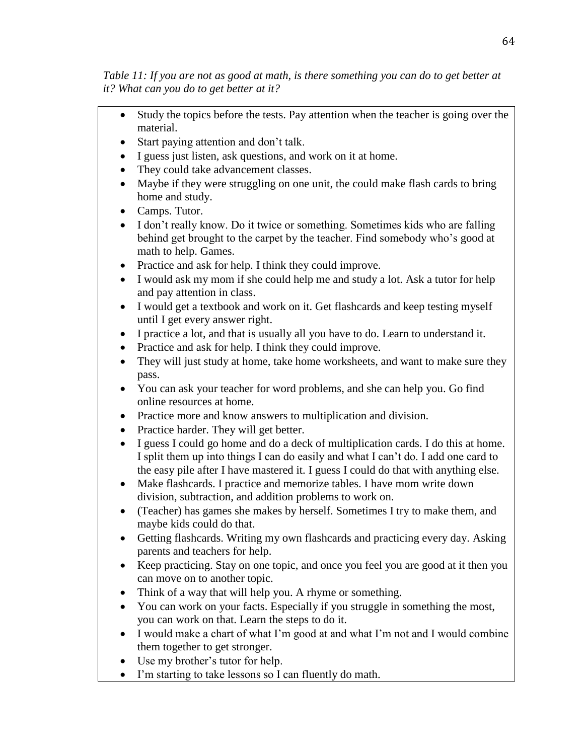*Table 11: If you are not as good at math, is there something you can do to get better at it? What can you do to get better at it?*

- Study the topics before the tests. Pay attention when the teacher is going over the material.
- Start paying attention and don't talk.
- I guess just listen, ask questions, and work on it at home.
- They could take advancement classes.
- Maybe if they were struggling on one unit, the could make flash cards to bring home and study.
- Camps. Tutor.
- I don't really know. Do it twice or something. Sometimes kids who are falling behind get brought to the carpet by the teacher. Find somebody who's good at math to help. Games.
- Practice and ask for help. I think they could improve.
- I would ask my mom if she could help me and study a lot. Ask a tutor for help and pay attention in class.
- I would get a textbook and work on it. Get flashcards and keep testing myself until I get every answer right.
- I practice a lot, and that is usually all you have to do. Learn to understand it.
- Practice and ask for help. I think they could improve.
- They will just study at home, take home worksheets, and want to make sure they pass.
- You can ask your teacher for word problems, and she can help you. Go find online resources at home.
- Practice more and know answers to multiplication and division.
- Practice harder. They will get better.
- I guess I could go home and do a deck of multiplication cards. I do this at home. I split them up into things I can do easily and what I can't do. I add one card to the easy pile after I have mastered it. I guess I could do that with anything else.
- Make flashcards. I practice and memorize tables. I have mom write down division, subtraction, and addition problems to work on.
- (Teacher) has games she makes by herself. Sometimes I try to make them, and maybe kids could do that.
- Getting flashcards. Writing my own flashcards and practicing every day. Asking parents and teachers for help.
- Keep practicing. Stay on one topic, and once you feel you are good at it then you can move on to another topic.
- Think of a way that will help you. A rhyme or something.
- You can work on your facts. Especially if you struggle in something the most, you can work on that. Learn the steps to do it.
- I would make a chart of what I'm good at and what I'm not and I would combine them together to get stronger.
- Use my brother's tutor for help.
- I'm starting to take lessons so I can fluently do math.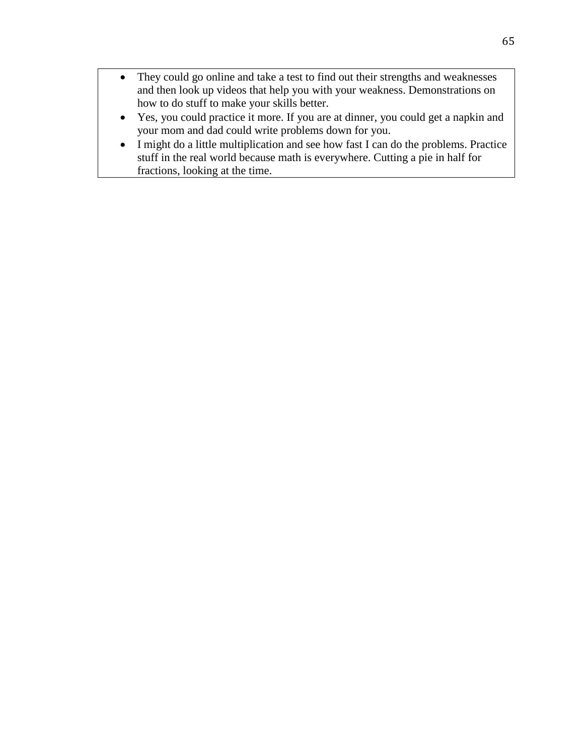- They could go online and take a test to find out their strengths and weaknesses and then look up videos that help you with your weakness. Demonstrations on how to do stuff to make your skills better.
- Yes, you could practice it more. If you are at dinner, you could get a napkin and your mom and dad could write problems down for you.
- I might do a little multiplication and see how fast I can do the problems. Practice stuff in the real world because math is everywhere. Cutting a pie in half for fractions, looking at the time.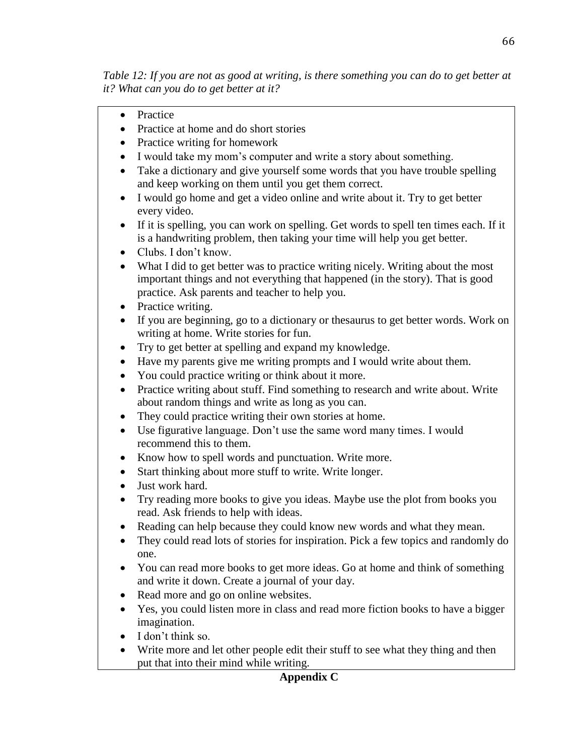*Table 12: If you are not as good at writing, is there something you can do to get better at it? What can you do to get better at it?*

- Practice
- Practice at home and do short stories
- Practice writing for homework
- I would take my mom's computer and write a story about something.
- Take a dictionary and give yourself some words that you have trouble spelling and keep working on them until you get them correct.
- I would go home and get a video online and write about it. Try to get better every video.
- If it is spelling, you can work on spelling. Get words to spell ten times each. If it is a handwriting problem, then taking your time will help you get better.
- Clubs. I don't know.
- What I did to get better was to practice writing nicely. Writing about the most important things and not everything that happened (in the story). That is good practice. Ask parents and teacher to help you.
- Practice writing.
- If you are beginning, go to a dictionary or thesaurus to get better words. Work on writing at home. Write stories for fun.
- Try to get better at spelling and expand my knowledge.
- Have my parents give me writing prompts and I would write about them.
- You could practice writing or think about it more.
- Practice writing about stuff. Find something to research and write about. Write about random things and write as long as you can.
- They could practice writing their own stories at home.
- Use figurative language. Don't use the same word many times. I would recommend this to them.
- Know how to spell words and punctuation. Write more.
- Start thinking about more stuff to write. Write longer.
- Just work hard.
- Try reading more books to give you ideas. Maybe use the plot from books you read. Ask friends to help with ideas.
- Reading can help because they could know new words and what they mean.
- They could read lots of stories for inspiration. Pick a few topics and randomly do one.
- You can read more books to get more ideas. Go at home and think of something and write it down. Create a journal of your day.
- Read more and go on online websites.
- Yes, you could listen more in class and read more fiction books to have a bigger imagination.
- I don't think so.
- Write more and let other people edit their stuff to see what they thing and then put that into their mind while writing.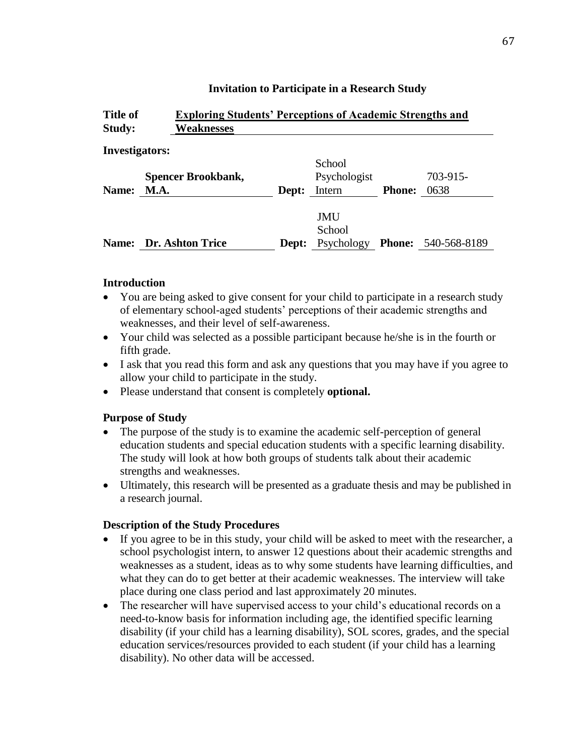# **Invitation to Participate in a Research Study**

#### **Title of Study: Exploring Students' Perceptions of Academic Strengths and Weaknesses**

# **Investigators:**

| Name: | <b>Spencer Brookbank,</b><br><b>M.A.</b> | Dept: | School<br>Psychologist<br>Intern | <b>Phone:</b> | 703-915-<br>0638                                   |
|-------|------------------------------------------|-------|----------------------------------|---------------|----------------------------------------------------|
|       | Name: Dr. Ashton Trice                   |       | JMU<br>School                    |               | <b>Dept:</b> Psychology <b>Phone:</b> 540-568-8189 |

# **Introduction**

- You are being asked to give consent for your child to participate in a research study of elementary school-aged students' perceptions of their academic strengths and weaknesses, and their level of self-awareness.
- Your child was selected as a possible participant because he/she is in the fourth or fifth grade.
- I ask that you read this form and ask any questions that you may have if you agree to allow your child to participate in the study.
- Please understand that consent is completely **optional.**

# **Purpose of Study**

- The purpose of the study is to examine the academic self-perception of general education students and special education students with a specific learning disability. The study will look at how both groups of students talk about their academic strengths and weaknesses.
- Ultimately, this research will be presented as a graduate thesis and may be published in a research journal.

# **Description of the Study Procedures**

- If you agree to be in this study, your child will be asked to meet with the researcher, a school psychologist intern, to answer 12 questions about their academic strengths and weaknesses as a student, ideas as to why some students have learning difficulties, and what they can do to get better at their academic weaknesses. The interview will take place during one class period and last approximately 20 minutes.
- The researcher will have supervised access to your child's educational records on a need-to-know basis for information including age, the identified specific learning disability (if your child has a learning disability), SOL scores, grades, and the special education services/resources provided to each student (if your child has a learning disability). No other data will be accessed.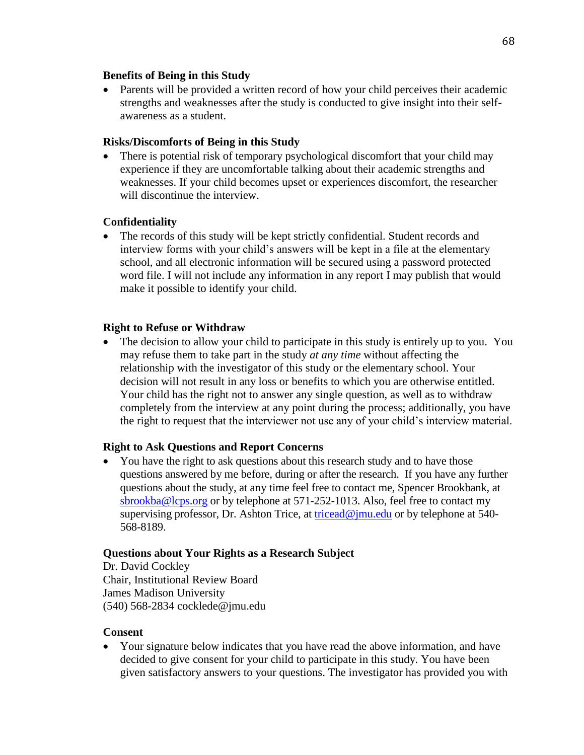#### **Benefits of Being in this Study**

• Parents will be provided a written record of how your child perceives their academic strengths and weaknesses after the study is conducted to give insight into their selfawareness as a student.

# **Risks/Discomforts of Being in this Study**

• There is potential risk of temporary psychological discomfort that your child may experience if they are uncomfortable talking about their academic strengths and weaknesses. If your child becomes upset or experiences discomfort, the researcher will discontinue the interview.

# **Confidentiality**

• The records of this study will be kept strictly confidential. Student records and interview forms with your child's answers will be kept in a file at the elementary school, and all electronic information will be secured using a password protected word file. I will not include any information in any report I may publish that would make it possible to identify your child.

# **Right to Refuse or Withdraw**

• The decision to allow your child to participate in this study is entirely up to you. You may refuse them to take part in the study *at any time* without affecting the relationship with the investigator of this study or the elementary school. Your decision will not result in any loss or benefits to which you are otherwise entitled. Your child has the right not to answer any single question, as well as to withdraw completely from the interview at any point during the process; additionally, you have the right to request that the interviewer not use any of your child's interview material.

# **Right to Ask Questions and Report Concerns**

• You have the right to ask questions about this research study and to have those questions answered by me before, during or after the research. If you have any further questions about the study, at any time feel free to contact me, Spencer Brookbank, at [sbrookba@lcps.org](mailto:sbrookba@lcps.org) or by telephone at 571-252-1013. Also, feel free to contact my supervising professor, Dr. Ashton Trice, at [tricead@jmu.edu](mailto:tricead@jmu.edu) or by telephone at 540-568-8189.

# **Questions about Your Rights as a Research Subject**

Dr. David Cockley Chair, Institutional Review Board James Madison University (540) 568-2834 cocklede@jmu.edu

# **Consent**

• Your signature below indicates that you have read the above information, and have decided to give consent for your child to participate in this study. You have been given satisfactory answers to your questions. The investigator has provided you with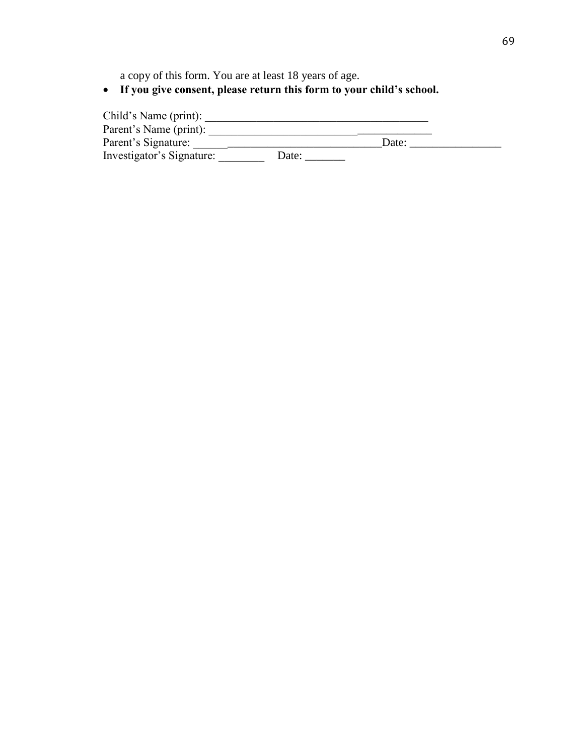a copy of this form. You are at least 18 years of age.

• **If you give consent, please return this form to your child's school.**

| Child's Name (print):     |       |       |  |
|---------------------------|-------|-------|--|
| Parent's Name (print):    |       |       |  |
| Parent's Signature:       |       | Date: |  |
| Investigator's Signature: | Date: |       |  |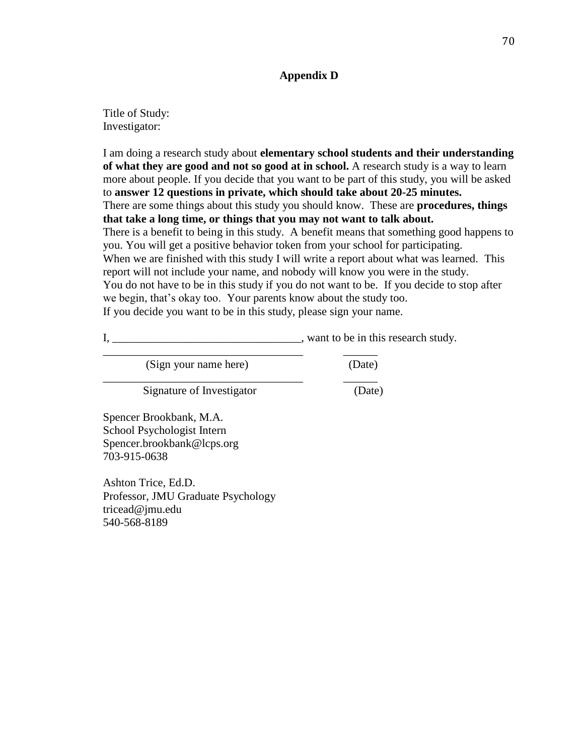#### **Appendix D**

Title of Study: Investigator:

I am doing a research study about **elementary school students and their understanding of what they are good and not so good at in school.** A research study is a way to learn more about people. If you decide that you want to be part of this study, you will be asked to **answer 12 questions in private, which should take about 20-25 minutes.** There are some things about this study you should know. These are **procedures, things that take a long time, or things that you may not want to talk about.** There is a benefit to being in this study. A benefit means that something good happens to you. You will get a positive behavior token from your school for participating. When we are finished with this study I will write a report about what was learned. This report will not include your name, and nobody will know you were in the study. You do not have to be in this study if you do not want to be. If you decide to stop after we begin, that's okay too. Your parents know about the study too. If you decide you want to be in this study, please sign your name.

I, \_\_\_\_\_\_\_\_\_\_\_\_\_\_\_\_\_\_\_\_\_\_\_\_\_\_\_\_\_\_\_\_\_\_\_, want to be in this research study.

(Sign your name here) (Date)

\_\_\_\_\_\_\_\_\_\_\_\_\_\_\_\_\_\_\_\_\_\_\_\_\_\_\_\_\_\_\_\_\_\_\_ \_\_\_\_\_\_

\_\_\_\_\_\_\_\_\_\_\_\_\_\_\_\_\_\_\_\_\_\_\_\_\_\_\_\_\_\_\_\_\_\_\_ \_\_\_\_\_\_

Signature of Investigator (Date)

Spencer Brookbank, M.A. School Psychologist Intern Spencer.brookbank@lcps.org 703-915-0638

Ashton Trice, Ed.D. Professor, JMU Graduate Psychology tricead@jmu.edu 540-568-8189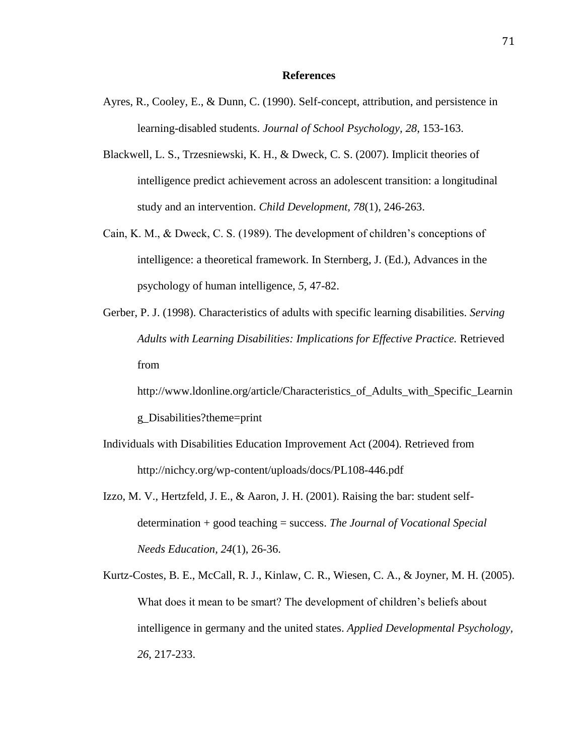#### **References**

- Ayres, R., Cooley, E., & Dunn, C. (1990). Self-concept, attribution, and persistence in learning-disabled students. *Journal of School Psychology, 28*, 153-163.
- Blackwell, L. S., Trzesniewski, K. H., & Dweck, C. S. (2007). Implicit theories of intelligence predict achievement across an adolescent transition: a longitudinal study and an intervention. *Child Development, 78*(1), 246-263.
- Cain, K. M., & Dweck, C. S. (1989). The development of children's conceptions of intelligence: a theoretical framework. In Sternberg, J. (Ed.), Advances in the psychology of human intelligence, *5,* 47-82.
- Gerber, P. J. (1998). Characteristics of adults with specific learning disabilities. *Serving Adults with Learning Disabilities: Implications for Effective Practice.* Retrieved from

http://www.ldonline.org/article/Characteristics\_of\_Adults\_with\_Specific\_Learnin g\_Disabilities?theme=print

- Individuals with Disabilities Education Improvement Act (2004). Retrieved from http://nichcy.org/wp-content/uploads/docs/PL108-446.pdf
- Izzo, M. V., Hertzfeld, J. E., & Aaron, J. H. (2001). Raising the bar: student selfdetermination + good teaching = success. *The Journal of Vocational Special Needs Education, 24*(1), 26-36.
- Kurtz-Costes, B. E., McCall, R. J., Kinlaw, C. R., Wiesen, C. A., & Joyner, M. H. (2005). What does it mean to be smart? The development of children's beliefs about intelligence in germany and the united states. *Applied Developmental Psychology, 26*, 217-233.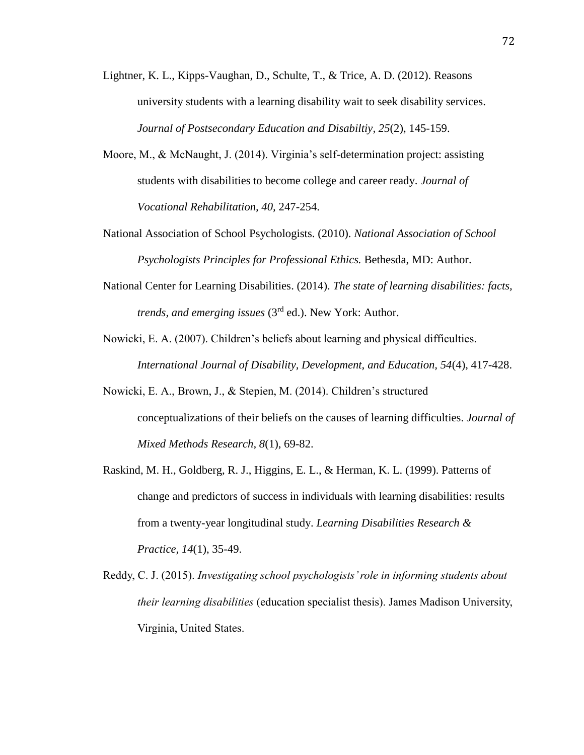- Lightner, K. L., Kipps-Vaughan, D., Schulte, T., & Trice, A. D. (2012). Reasons university students with a learning disability wait to seek disability services. *Journal of Postsecondary Education and Disabiltiy, 25*(2), 145-159.
- Moore, M., & McNaught, J. (2014). Virginia's self-determination project: assisting students with disabilities to become college and career ready. *Journal of Vocational Rehabilitation, 40,* 247-254.
- National Association of School Psychologists. (2010). *National Association of School Psychologists Principles for Professional Ethics.* Bethesda, MD: Author.
- National Center for Learning Disabilities. (2014). *The state of learning disabilities: facts, trends, and emerging issues* (3<sup>rd</sup> ed.). New York: Author.
- Nowicki, E. A. (2007). Children's beliefs about learning and physical difficulties. *International Journal of Disability, Development, and Education, 54*(4), 417-428.
- Nowicki, E. A., Brown, J., & Stepien, M. (2014). Children's structured conceptualizations of their beliefs on the causes of learning difficulties. *Journal of Mixed Methods Research, 8*(1), 69-82.
- Raskind, M. H., Goldberg, R. J., Higgins, E. L., & Herman, K. L. (1999). Patterns of change and predictors of success in individuals with learning disabilities: results from a twenty-year longitudinal study. *Learning Disabilities Research & Practice, 14*(1), 35-49.
- Reddy, C. J. (2015). *Investigating school psychologists' role in informing students about their learning disabilities* (education specialist thesis). James Madison University, Virginia, United States.